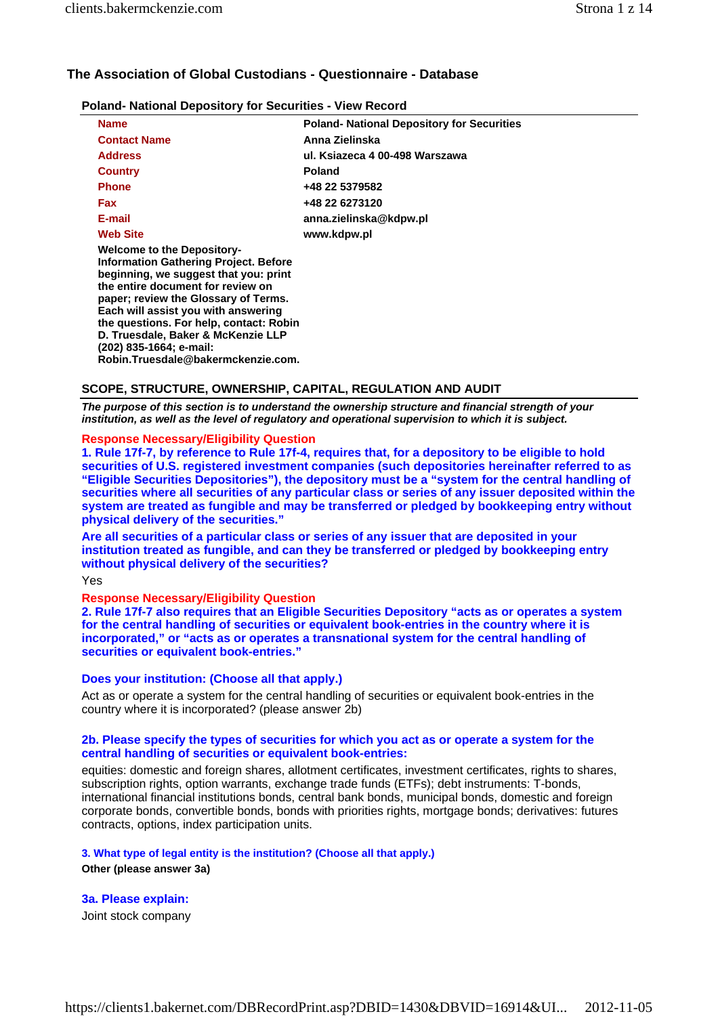# **The Association of Global Custodians - Questionnaire - Database**

| <b>Poland- National Depository for Securities - View Record</b> |                                                   |
|-----------------------------------------------------------------|---------------------------------------------------|
| <b>Name</b>                                                     | <b>Poland- National Depository for Securities</b> |
| <b>Contact Name</b>                                             | Anna Zielinska                                    |

| <b>Contact Name</b>                                                                                                                                                                                                                                                                                                                                                                              | Anna Zielinska                 |
|--------------------------------------------------------------------------------------------------------------------------------------------------------------------------------------------------------------------------------------------------------------------------------------------------------------------------------------------------------------------------------------------------|--------------------------------|
| <b>Address</b>                                                                                                                                                                                                                                                                                                                                                                                   | ul. Ksiazeca 4 00-498 Warszawa |
| <b>Country</b>                                                                                                                                                                                                                                                                                                                                                                                   | <b>Poland</b>                  |
| Phone                                                                                                                                                                                                                                                                                                                                                                                            | +48 22 5379582                 |
| Fax                                                                                                                                                                                                                                                                                                                                                                                              | +48 22 6273120                 |
| E-mail                                                                                                                                                                                                                                                                                                                                                                                           | anna.zielinska@kdpw.pl         |
| <b>Web Site</b>                                                                                                                                                                                                                                                                                                                                                                                  | www.kdpw.pl                    |
| <b>Welcome to the Depository-</b><br><b>Information Gathering Project. Before</b><br>beginning, we suggest that you: print<br>the entire document for review on<br>paper; review the Glossary of Terms.<br>Each will assist you with answering<br>the questions. For help, contact: Robin<br>D. Truesdale, Baker & McKenzie LLP<br>(202) 835-1664; e-mail:<br>Robin.Truesdale@bakermckenzie.com. |                                |

# **SCOPE, STRUCTURE, OWNERSHIP, CAPITAL, REGULATION AND AUDIT**

*The purpose of this section is to understand the ownership structure and financial strength of your institution, as well as the level of regulatory and operational supervision to which it is subject.*

# **Response Necessary/Eligibility Question**

**1. Rule 17f-7, by reference to Rule 17f-4, requires that, for a depository to be eligible to hold securities of U.S. registered investment companies (such depositories hereinafter referred to as "Eligible Securities Depositories"), the depository must be a "system for the central handling of securities where all securities of any particular class or series of any issuer deposited within the system are treated as fungible and may be transferred or pledged by bookkeeping entry without physical delivery of the securities."**

**Are all securities of a particular class or series of any issuer that are deposited in your institution treated as fungible, and can they be transferred or pledged by bookkeeping entry without physical delivery of the securities?**

Yes

# **Response Necessary/Eligibility Question**

**2. Rule 17f-7 also requires that an Eligible Securities Depository "acts as or operates a system for the central handling of securities or equivalent book-entries in the country where it is incorporated," or "acts as or operates a transnational system for the central handling of securities or equivalent book-entries."** 

# **Does your institution: (Choose all that apply.)**

Act as or operate a system for the central handling of securities or equivalent book-entries in the country where it is incorporated? (please answer 2b)

# **2b. Please specify the types of securities for which you act as or operate a system for the central handling of securities or equivalent book-entries:**

equities: domestic and foreign shares, allotment certificates, investment certificates, rights to shares, subscription rights, option warrants, exchange trade funds (ETFs); debt instruments: T-bonds, international financial institutions bonds, central bank bonds, municipal bonds, domestic and foreign corporate bonds, convertible bonds, bonds with priorities rights, mortgage bonds; derivatives: futures contracts, options, index participation units.

# **3. What type of legal entity is the institution? (Choose all that apply.)**

**Other (please answer 3a)** 

# **3a. Please explain:**

Joint stock company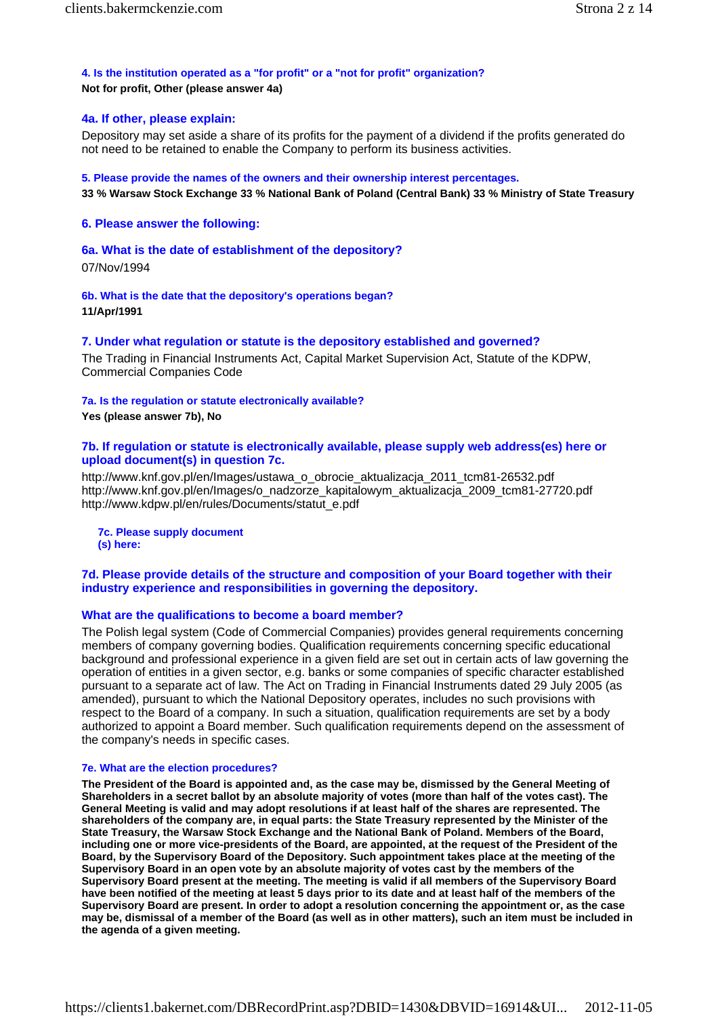### **4. Is the institution operated as a "for profit" or a "not for profit" organization? Not for profit, Other (please answer 4a)**

# **4a. If other, please explain:**

Depository may set aside a share of its profits for the payment of a dividend if the profits generated do not need to be retained to enable the Company to perform its business activities.

**5. Please provide the names of the owners and their ownership interest percentages.**

**33 % Warsaw Stock Exchange 33 % National Bank of Poland (Central Bank) 33 % Ministry of State Treasury** 

### **6. Please answer the following:**

### **6a. What is the date of establishment of the depository?**

07/Nov/1994

**6b. What is the date that the depository's operations began? 11/Apr/1991** 

### **7. Under what regulation or statute is the depository established and governed?**

The Trading in Financial Instruments Act, Capital Market Supervision Act, Statute of the KDPW, Commercial Companies Code

#### **7a. Is the regulation or statute electronically available?**

**Yes (please answer 7b), No** 

# **7b. If regulation or statute is electronically available, please supply web address(es) here or upload document(s) in question 7c.**

http://www.knf.gov.pl/en/Images/ustawa\_o\_obrocie\_aktualizacja\_2011\_tcm81-26532.pdf http://www.knf.gov.pl/en/Images/o\_nadzorze\_kapitalowym\_aktualizacja\_2009\_tcm81-27720.pdf http://www.kdpw.pl/en/rules/Documents/statut\_e.pdf

**7c. Please supply document (s) here:**

# **7d. Please provide details of the structure and composition of your Board together with their industry experience and responsibilities in governing the depository.**

### **What are the qualifications to become a board member?**

The Polish legal system (Code of Commercial Companies) provides general requirements concerning members of company governing bodies. Qualification requirements concerning specific educational background and professional experience in a given field are set out in certain acts of law governing the operation of entities in a given sector, e.g. banks or some companies of specific character established pursuant to a separate act of law. The Act on Trading in Financial Instruments dated 29 July 2005 (as amended), pursuant to which the National Depository operates, includes no such provisions with respect to the Board of a company. In such a situation, qualification requirements are set by a body authorized to appoint a Board member. Such qualification requirements depend on the assessment of the company's needs in specific cases.

#### **7e. What are the election procedures?**

**The President of the Board is appointed and, as the case may be, dismissed by the General Meeting of Shareholders in a secret ballot by an absolute majority of votes (more than half of the votes cast). The General Meeting is valid and may adopt resolutions if at least half of the shares are represented. The shareholders of the company are, in equal parts: the State Treasury represented by the Minister of the State Treasury, the Warsaw Stock Exchange and the National Bank of Poland. Members of the Board, including one or more vice-presidents of the Board, are appointed, at the request of the President of the Board, by the Supervisory Board of the Depository. Such appointment takes place at the meeting of the Supervisory Board in an open vote by an absolute majority of votes cast by the members of the Supervisory Board present at the meeting. The meeting is valid if all members of the Supervisory Board have been notified of the meeting at least 5 days prior to its date and at least half of the members of the Supervisory Board are present. In order to adopt a resolution concerning the appointment or, as the case may be, dismissal of a member of the Board (as well as in other matters), such an item must be included in the agenda of a given meeting.**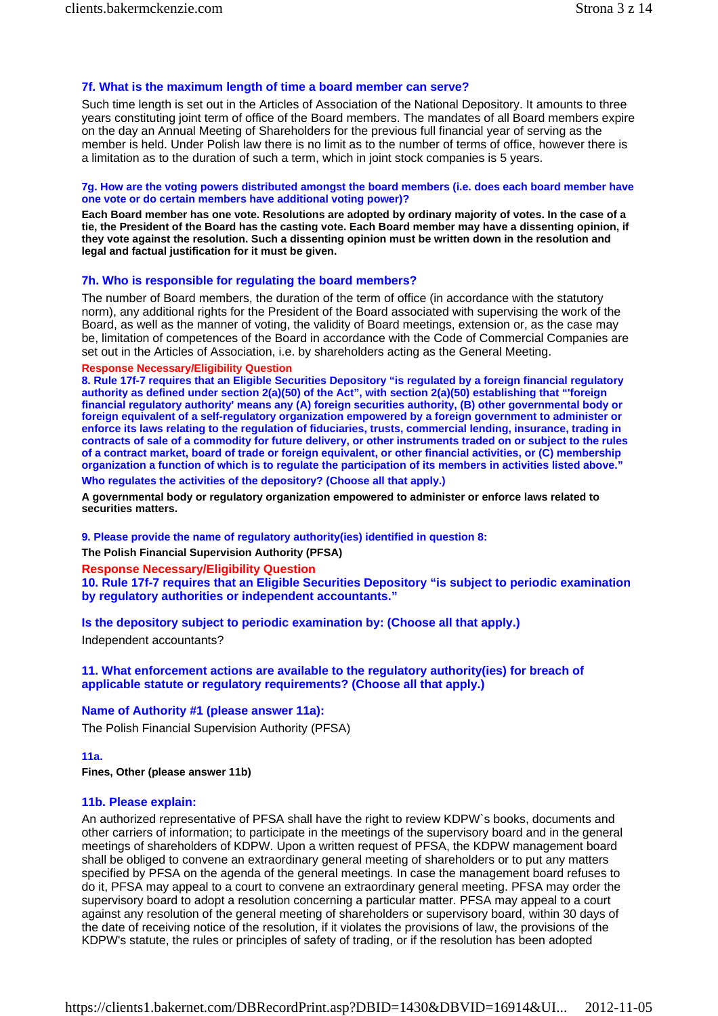# **7f. What is the maximum length of time a board member can serve?**

Such time length is set out in the Articles of Association of the National Depository. It amounts to three years constituting joint term of office of the Board members. The mandates of all Board members expire on the day an Annual Meeting of Shareholders for the previous full financial year of serving as the member is held. Under Polish law there is no limit as to the number of terms of office, however there is a limitation as to the duration of such a term, which in joint stock companies is 5 years.

### **7g. How are the voting powers distributed amongst the board members (i.e. does each board member have one vote or do certain members have additional voting power)?**

**Each Board member has one vote. Resolutions are adopted by ordinary majority of votes. In the case of a tie, the President of the Board has the casting vote. Each Board member may have a dissenting opinion, if they vote against the resolution. Such a dissenting opinion must be written down in the resolution and legal and factual justification for it must be given.** 

# **7h. Who is responsible for regulating the board members?**

The number of Board members, the duration of the term of office (in accordance with the statutory norm), any additional rights for the President of the Board associated with supervising the work of the Board, as well as the manner of voting, the validity of Board meetings, extension or, as the case may be, limitation of competences of the Board in accordance with the Code of Commercial Companies are set out in the Articles of Association, i.e. by shareholders acting as the General Meeting.

# **Response Necessary/Eligibility Question**

**8. Rule 17f-7 requires that an Eligible Securities Depository "is regulated by a foreign financial regulatory authority as defined under section 2(a)(50) of the Act", with section 2(a)(50) establishing that "'foreign financial regulatory authority' means any (A) foreign securities authority, (B) other governmental body or foreign equivalent of a self-regulatory organization empowered by a foreign government to administer or enforce its laws relating to the regulation of fiduciaries, trusts, commercial lending, insurance, trading in contracts of sale of a commodity for future delivery, or other instruments traded on or subject to the rules of a contract market, board of trade or foreign equivalent, or other financial activities, or (C) membership organization a function of which is to regulate the participation of its members in activities listed above." Who regulates the activities of the depository? (Choose all that apply.)**

**A governmental body or regulatory organization empowered to administer or enforce laws related to securities matters.** 

**9. Please provide the name of regulatory authority(ies) identified in question 8: The Polish Financial Supervision Authority (PFSA)** 

**Response Necessary/Eligibility Question** 

**10. Rule 17f-7 requires that an Eligible Securities Depository "is subject to periodic examination by regulatory authorities or independent accountants."** 

**Is the depository subject to periodic examination by: (Choose all that apply.)** Independent accountants?

**11. What enforcement actions are available to the regulatory authority(ies) for breach of applicable statute or regulatory requirements? (Choose all that apply.)** 

# **Name of Authority #1 (please answer 11a):**

The Polish Financial Supervision Authority (PFSA)

# **11a.**

**Fines, Other (please answer 11b)** 

# **11b. Please explain:**

An authorized representative of PFSA shall have the right to review KDPW`s books, documents and other carriers of information; to participate in the meetings of the supervisory board and in the general meetings of shareholders of KDPW. Upon a written request of PFSA, the KDPW management board shall be obliged to convene an extraordinary general meeting of shareholders or to put any matters specified by PFSA on the agenda of the general meetings. In case the management board refuses to do it, PFSA may appeal to a court to convene an extraordinary general meeting. PFSA may order the supervisory board to adopt a resolution concerning a particular matter. PFSA may appeal to a court against any resolution of the general meeting of shareholders or supervisory board, within 30 days of the date of receiving notice of the resolution, if it violates the provisions of law, the provisions of the KDPW's statute, the rules or principles of safety of trading, or if the resolution has been adopted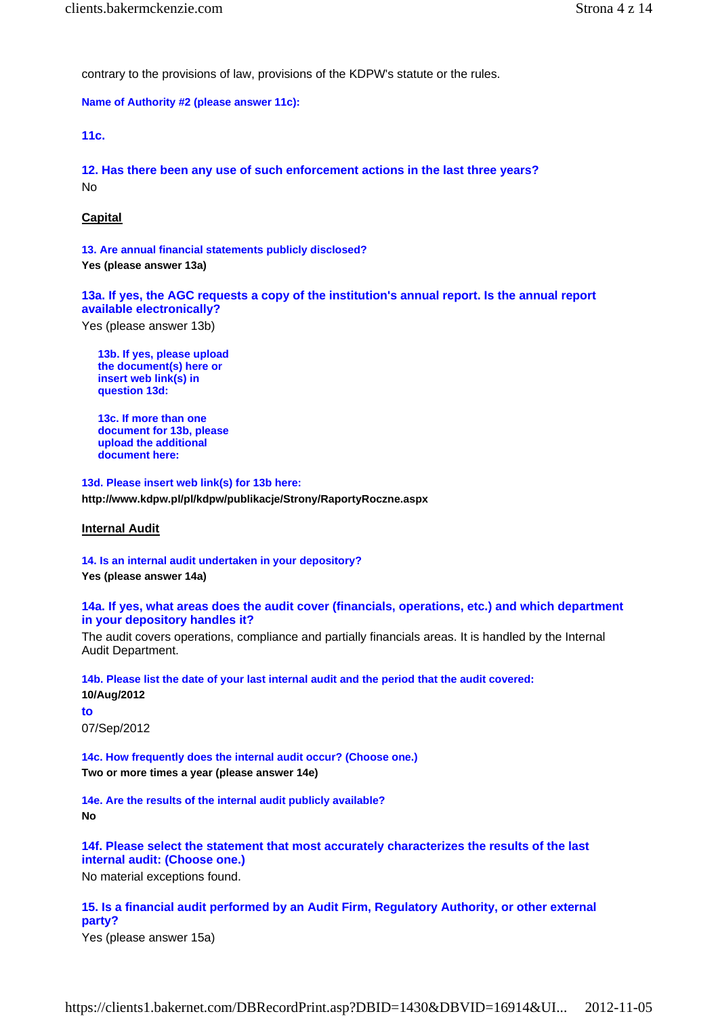contrary to the provisions of law, provisions of the KDPW's statute or the rules.

**Name of Authority #2 (please answer 11c):**

**11c.**

**12. Has there been any use of such enforcement actions in the last three years?** No

# **Capital**

**13. Are annual financial statements publicly disclosed? Yes (please answer 13a)** 

**13a. If yes, the AGC requests a copy of the institution's annual report. Is the annual report available electronically?**

Yes (please answer 13b)

**13b. If yes, please upload the document(s) here or insert web link(s) in question 13d:**

**13c. If more than one document for 13b, please upload the additional document here:**

**13d. Please insert web link(s) for 13b here: http://www.kdpw.pl/pl/kdpw/publikacje/Strony/RaportyRoczne.aspx** 

### **Internal Audit**

**14. Is an internal audit undertaken in your depository?**

**Yes (please answer 14a)** 

# **14a. If yes, what areas does the audit cover (financials, operations, etc.) and which department in your depository handles it?**

The audit covers operations, compliance and partially financials areas. It is handled by the Internal Audit Department.

**14b. Please list the date of your last internal audit and the period that the audit covered: 10/Aug/2012 to**

07/Sep/2012

**14c. How frequently does the internal audit occur? (Choose one.) Two or more times a year (please answer 14e)** 

**14e. Are the results of the internal audit publicly available? No** 

**14f. Please select the statement that most accurately characterizes the results of the last internal audit: (Choose one.)**

No material exceptions found.

**15. Is a financial audit performed by an Audit Firm, Regulatory Authority, or other external party?**

Yes (please answer 15a)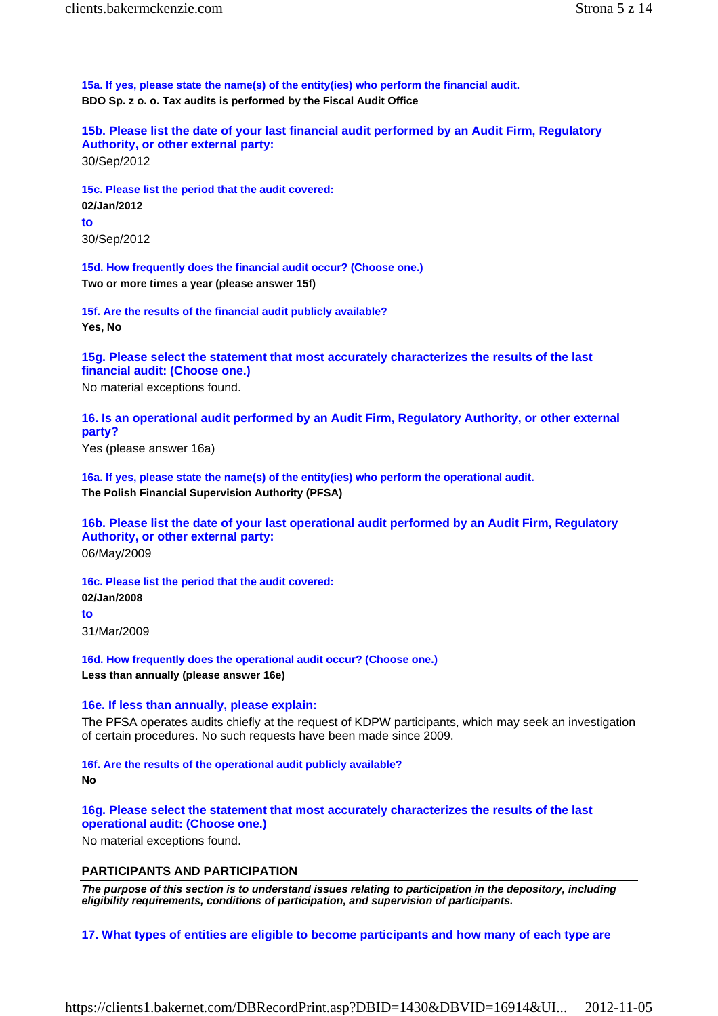**15a. If yes, please state the name(s) of the entity(ies) who perform the financial audit. BDO Sp. z o. o. Tax audits is performed by the Fiscal Audit Office** 

**15b. Please list the date of your last financial audit performed by an Audit Firm, Regulatory Authority, or other external party:** 30/Sep/2012

**15c. Please list the period that the audit covered: 02/Jan/2012 to** 30/Sep/2012

**15d. How frequently does the financial audit occur? (Choose one.) Two or more times a year (please answer 15f)** 

**15f. Are the results of the financial audit publicly available? Yes, No** 

**15g. Please select the statement that most accurately characterizes the results of the last financial audit: (Choose one.)**

No material exceptions found.

**16. Is an operational audit performed by an Audit Firm, Regulatory Authority, or other external party?**

Yes (please answer 16a)

**16a. If yes, please state the name(s) of the entity(ies) who perform the operational audit. The Polish Financial Supervision Authority (PFSA)** 

**16b. Please list the date of your last operational audit performed by an Audit Firm, Regulatory Authority, or other external party:** 06/May/2009

**16c. Please list the period that the audit covered: 02/Jan/2008** 

**to**

31/Mar/2009

**16d. How frequently does the operational audit occur? (Choose one.) Less than annually (please answer 16e)** 

### **16e. If less than annually, please explain:**

The PFSA operates audits chiefly at the request of KDPW participants, which may seek an investigation of certain procedures. No such requests have been made since 2009.

**16f. Are the results of the operational audit publicly available?**

### **No**

**16g. Please select the statement that most accurately characterizes the results of the last operational audit: (Choose one.)**

No material exceptions found.

# **PARTICIPANTS AND PARTICIPATION**

*The purpose of this section is to understand issues relating to participation in the depository, including eligibility requirements, conditions of participation, and supervision of participants.*

**17. What types of entities are eligible to become participants and how many of each type are**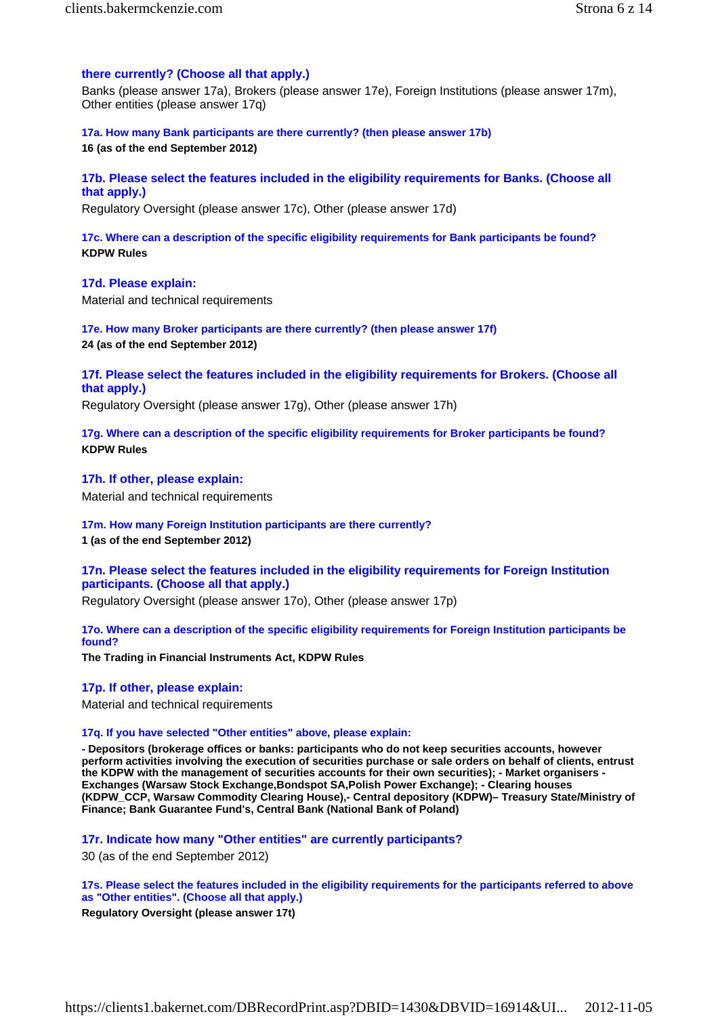# **there currently? (Choose all that apply.)**

Banks (please answer 17a), Brokers (please answer 17e), Foreign Institutions (please answer 17m), Other entities (please answer 17q)

**17a. How many Bank participants are there currently? (then please answer 17b) 16 (as of the end September 2012)** 

# **17b. Please select the features included in the eligibility requirements for Banks. (Choose all that apply.)**

Regulatory Oversight (please answer 17c), Other (please answer 17d)

**17c. Where can a description of the specific eligibility requirements for Bank participants be found? KDPW Rules** 

**17d. Please explain:** Material and technical requirements

**17e. How many Broker participants are there currently? (then please answer 17f) 24 (as of the end September 2012)** 

**17f. Please select the features included in the eligibility requirements for Brokers. (Choose all that apply.)**

Regulatory Oversight (please answer 17g), Other (please answer 17h)

**17g. Where can a description of the specific eligibility requirements for Broker participants be found? KDPW Rules** 

**17h. If other, please explain:** Material and technical requirements

**17m. How many Foreign Institution participants are there currently?**

**1 (as of the end September 2012)** 

**17n. Please select the features included in the eligibility requirements for Foreign Institution participants. (Choose all that apply.)**

Regulatory Oversight (please answer 17o), Other (please answer 17p)

**17o. Where can a description of the specific eligibility requirements for Foreign Institution participants be found?**

**The Trading in Financial Instruments Act, KDPW Rules** 

**17p. If other, please explain:**

Material and technical requirements

# **17q. If you have selected "Other entities" above, please explain:**

**- Depositors (brokerage offices or banks: participants who do not keep securities accounts, however perform activities involving the execution of securities purchase or sale orders on behalf of clients, entrust the KDPW with the management of securities accounts for their own securities); - Market organisers - Exchanges (Warsaw Stock Exchange,Bondspot SA,Polish Power Exchange); - Clearing houses (KDPW\_CCP, Warsaw Commodity Clearing House),- Central depository (KDPW)– Treasury State/Ministry of Finance; Bank Guarantee Fund's, Central Bank (National Bank of Poland)** 

**17r. Indicate how many "Other entities" are currently participants?**

30 (as of the end September 2012)

**17s. Please select the features included in the eligibility requirements for the participants referred to above as "Other entities". (Choose all that apply.)**

**Regulatory Oversight (please answer 17t)**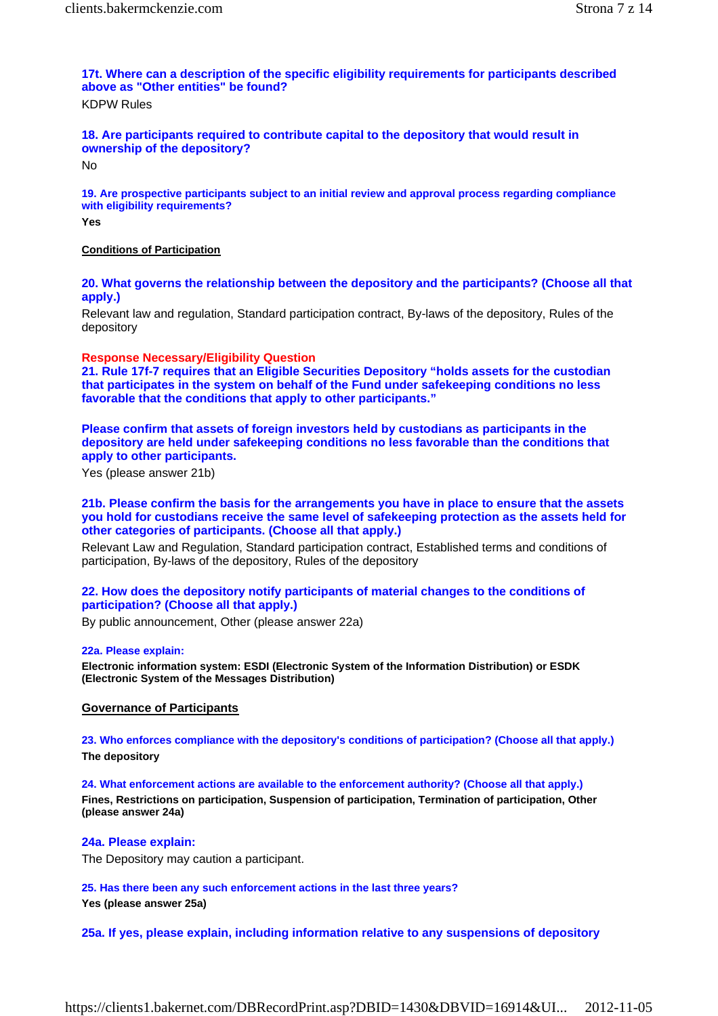# **17t. Where can a description of the specific eligibility requirements for participants described above as "Other entities" be found?**

KDPW Rules

# **18. Are participants required to contribute capital to the depository that would result in ownership of the depository?**

No

**19. Are prospective participants subject to an initial review and approval process regarding compliance with eligibility requirements?**

**Yes** 

# **Conditions of Participation**

**20. What governs the relationship between the depository and the participants? (Choose all that apply.)**

Relevant law and regulation, Standard participation contract, By-laws of the depository, Rules of the depository

# **Response Necessary/Eligibility Question**

**21. Rule 17f-7 requires that an Eligible Securities Depository "holds assets for the custodian that participates in the system on behalf of the Fund under safekeeping conditions no less favorable that the conditions that apply to other participants."**

**Please confirm that assets of foreign investors held by custodians as participants in the depository are held under safekeeping conditions no less favorable than the conditions that apply to other participants.**

Yes (please answer 21b)

# **21b. Please confirm the basis for the arrangements you have in place to ensure that the assets you hold for custodians receive the same level of safekeeping protection as the assets held for other categories of participants. (Choose all that apply.)**

Relevant Law and Regulation, Standard participation contract, Established terms and conditions of participation, By-laws of the depository, Rules of the depository

# **22. How does the depository notify participants of material changes to the conditions of participation? (Choose all that apply.)**

By public announcement, Other (please answer 22a)

### **22a. Please explain:**

**Electronic information system: ESDI (Electronic System of the Information Distribution) or ESDK (Electronic System of the Messages Distribution)** 

# **Governance of Participants**

**23. Who enforces compliance with the depository's conditions of participation? (Choose all that apply.) The depository** 

**24. What enforcement actions are available to the enforcement authority? (Choose all that apply.) Fines, Restrictions on participation, Suspension of participation, Termination of participation, Other (please answer 24a)** 

# **24a. Please explain:**

The Depository may caution a participant.

**25. Has there been any such enforcement actions in the last three years? Yes (please answer 25a)** 

**25a. If yes, please explain, including information relative to any suspensions of depository**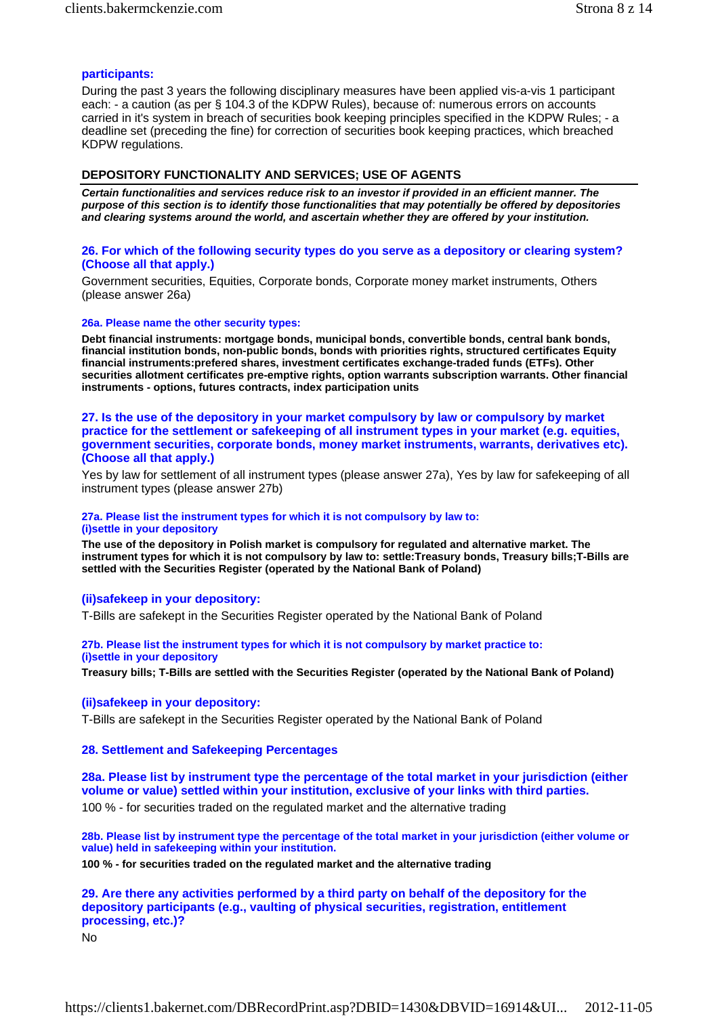# **participants:**

During the past 3 years the following disciplinary measures have been applied vis-a-vis 1 participant each: - a caution (as per § 104.3 of the KDPW Rules), because of: numerous errors on accounts carried in it's system in breach of securities book keeping principles specified in the KDPW Rules; - a deadline set (preceding the fine) for correction of securities book keeping practices, which breached KDPW regulations.

# **DEPOSITORY FUNCTIONALITY AND SERVICES; USE OF AGENTS**

*Certain functionalities and services reduce risk to an investor if provided in an efficient manner. The purpose of this section is to identify those functionalities that may potentially be offered by depositories and clearing systems around the world, and ascertain whether they are offered by your institution.*

# **26. For which of the following security types do you serve as a depository or clearing system? (Choose all that apply.)**

Government securities, Equities, Corporate bonds, Corporate money market instruments, Others (please answer 26a)

### **26a. Please name the other security types:**

**Debt financial instruments: mortgage bonds, municipal bonds, convertible bonds, central bank bonds, financial institution bonds, non-public bonds, bonds with priorities rights, structured certificates Equity financial instruments:prefered shares, investment certificates exchange-traded funds (ETFs). Other securities allotment certificates pre-emptive rights, option warrants subscription warrants. Other financial instruments - options, futures contracts, index participation units** 

# **27. Is the use of the depository in your market compulsory by law or compulsory by market practice for the settlement or safekeeping of all instrument types in your market (e.g. equities, government securities, corporate bonds, money market instruments, warrants, derivatives etc). (Choose all that apply.)**

Yes by law for settlement of all instrument types (please answer 27a), Yes by law for safekeeping of all instrument types (please answer 27b)

#### **27a. Please list the instrument types for which it is not compulsory by law to: (i)settle in your depository**

**The use of the depository in Polish market is compulsory for regulated and alternative market. The instrument types for which it is not compulsory by law to: settle:Treasury bonds, Treasury bills;T-Bills are settled with the Securities Register (operated by the National Bank of Poland)** 

# **(ii)safekeep in your depository:**

T-Bills are safekept in the Securities Register operated by the National Bank of Poland

### **27b. Please list the instrument types for which it is not compulsory by market practice to: (i)settle in your depository**

**Treasury bills; T-Bills are settled with the Securities Register (operated by the National Bank of Poland)** 

### **(ii)safekeep in your depository:**

T-Bills are safekept in the Securities Register operated by the National Bank of Poland

# **28. Settlement and Safekeeping Percentages**

**28a. Please list by instrument type the percentage of the total market in your jurisdiction (either volume or value) settled within your institution, exclusive of your links with third parties.** 100 % - for securities traded on the regulated market and the alternative trading

**28b. Please list by instrument type the percentage of the total market in your jurisdiction (either volume or value) held in safekeeping within your institution.**

**100 % - for securities traded on the regulated market and the alternative trading** 

**29. Are there any activities performed by a third party on behalf of the depository for the depository participants (e.g., vaulting of physical securities, registration, entitlement processing, etc.)?**

No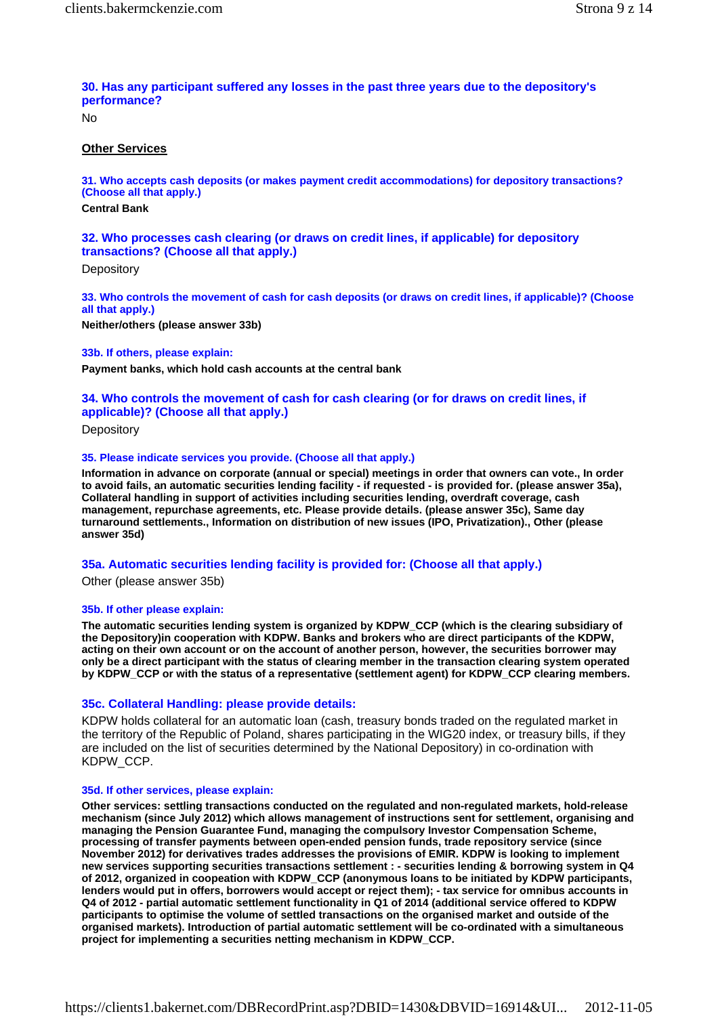# **30. Has any participant suffered any losses in the past three years due to the depository's performance?**

No

# **Other Services**

**31. Who accepts cash deposits (or makes payment credit accommodations) for depository transactions? (Choose all that apply.) Central Bank** 

# **32. Who processes cash clearing (or draws on credit lines, if applicable) for depository transactions? (Choose all that apply.)**

**Depository** 

**33. Who controls the movement of cash for cash deposits (or draws on credit lines, if applicable)? (Choose all that apply.)**

**Neither/others (please answer 33b)** 

### **33b. If others, please explain:**

**Payment banks, which hold cash accounts at the central bank** 

# **34. Who controls the movement of cash for cash clearing (or for draws on credit lines, if applicable)? (Choose all that apply.)**

**Depository** 

### **35. Please indicate services you provide. (Choose all that apply.)**

**Information in advance on corporate (annual or special) meetings in order that owners can vote., In order to avoid fails, an automatic securities lending facility - if requested - is provided for. (please answer 35a), Collateral handling in support of activities including securities lending, overdraft coverage, cash management, repurchase agreements, etc. Please provide details. (please answer 35c), Same day turnaround settlements., Information on distribution of new issues (IPO, Privatization)., Other (please answer 35d)** 

### **35a. Automatic securities lending facility is provided for: (Choose all that apply.)**

Other (please answer 35b)

### **35b. If other please explain:**

**The automatic securities lending system is organized by KDPW\_CCP (which is the clearing subsidiary of the Depository)in cooperation with KDPW. Banks and brokers who are direct participants of the KDPW, acting on their own account or on the account of another person, however, the securities borrower may only be a direct participant with the status of clearing member in the transaction clearing system operated by KDPW\_CCP or with the status of a representative (settlement agent) for KDPW\_CCP clearing members.** 

## **35c. Collateral Handling: please provide details:**

KDPW holds collateral for an automatic loan (cash, treasury bonds traded on the regulated market in the territory of the Republic of Poland, shares participating in the WIG20 index, or treasury bills, if they are included on the list of securities determined by the National Depository) in co-ordination with KDPW\_CCP.

### **35d. If other services, please explain:**

**Other services: settling transactions conducted on the regulated and non-regulated markets, hold-release mechanism (since July 2012) which allows management of instructions sent for settlement, organising and managing the Pension Guarantee Fund, managing the compulsory Investor Compensation Scheme, processing of transfer payments between open-ended pension funds, trade repository service (since November 2012) for derivatives trades addresses the provisions of EMIR. KDPW is looking to implement new services supporting securities transactions settlement : - securities lending & borrowing system in Q4 of 2012, organized in coopeation with KDPW\_CCP (anonymous loans to be initiated by KDPW participants, lenders would put in offers, borrowers would accept or reject them); - tax service for omnibus accounts in Q4 of 2012 - partial automatic settlement functionality in Q1 of 2014 (additional service offered to KDPW participants to optimise the volume of settled transactions on the organised market and outside of the organised markets). Introduction of partial automatic settlement will be co-ordinated with a simultaneous project for implementing a securities netting mechanism in KDPW\_CCP.**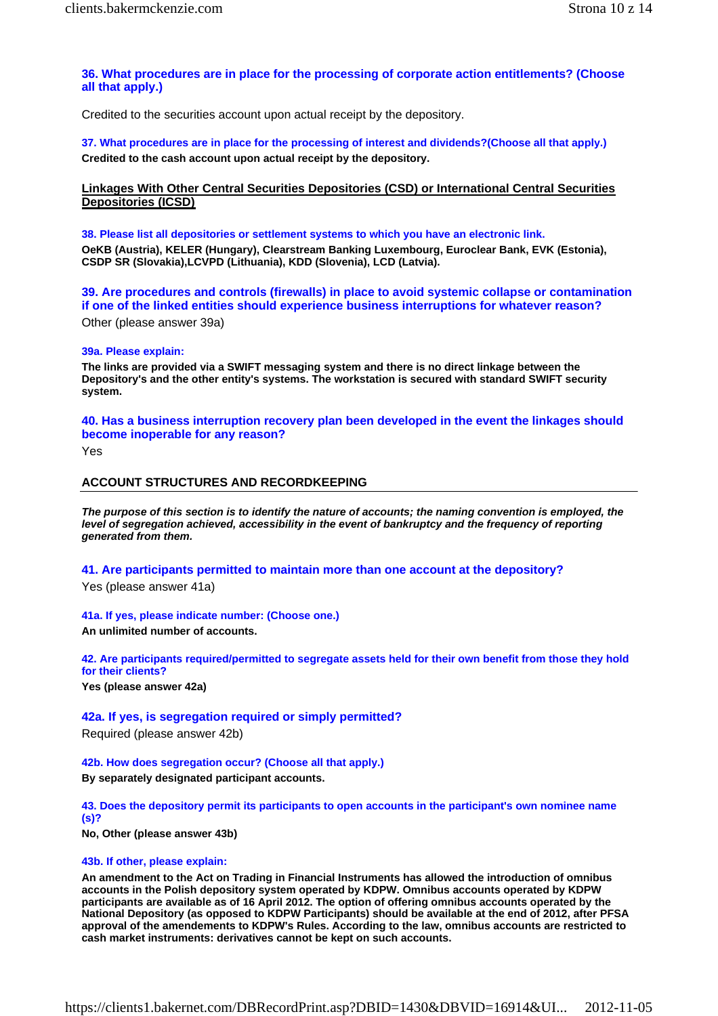# **36. What procedures are in place for the processing of corporate action entitlements? (Choose all that apply.)**

Credited to the securities account upon actual receipt by the depository.

**37. What procedures are in place for the processing of interest and dividends?(Choose all that apply.) Credited to the cash account upon actual receipt by the depository.** 

**Linkages With Other Central Securities Depositories (CSD) or International Central Securities Depositories (ICSD)**

**38. Please list all depositories or settlement systems to which you have an electronic link. OeKB (Austria), KELER (Hungary), Clearstream Banking Luxembourg, Euroclear Bank, EVK (Estonia), CSDP SR (Slovakia),LCVPD (Lithuania), KDD (Slovenia), LCD (Latvia).** 

**39. Are procedures and controls (firewalls) in place to avoid systemic collapse or contamination if one of the linked entities should experience business interruptions for whatever reason?**

Other (please answer 39a)

#### **39a. Please explain:**

**The links are provided via a SWIFT messaging system and there is no direct linkage between the Depository's and the other entity's systems. The workstation is secured with standard SWIFT security system.** 

**40. Has a business interruption recovery plan been developed in the event the linkages should become inoperable for any reason?**

Yes

## **ACCOUNT STRUCTURES AND RECORDKEEPING**

*The purpose of this section is to identify the nature of accounts; the naming convention is employed, the level of segregation achieved, accessibility in the event of bankruptcy and the frequency of reporting generated from them.*

**41. Are participants permitted to maintain more than one account at the depository?**

Yes (please answer 41a)

**41a. If yes, please indicate number: (Choose one.) An unlimited number of accounts.** 

**42. Are participants required/permitted to segregate assets held for their own benefit from those they hold for their clients?**

**Yes (please answer 42a)** 

### **42a. If yes, is segregation required or simply permitted?**

Required (please answer 42b)

**42b. How does segregation occur? (Choose all that apply.) By separately designated participant accounts.** 

**43. Does the depository permit its participants to open accounts in the participant's own nominee name (s)?**

**No, Other (please answer 43b)** 

### **43b. If other, please explain:**

**An amendment to the Act on Trading in Financial Instruments has allowed the introduction of omnibus accounts in the Polish depository system operated by KDPW. Omnibus accounts operated by KDPW participants are available as of 16 April 2012. The option of offering omnibus accounts operated by the National Depository (as opposed to KDPW Participants) should be available at the end of 2012, after PFSA approval of the amendements to KDPW's Rules. According to the law, omnibus accounts are restricted to cash market instruments: derivatives cannot be kept on such accounts.**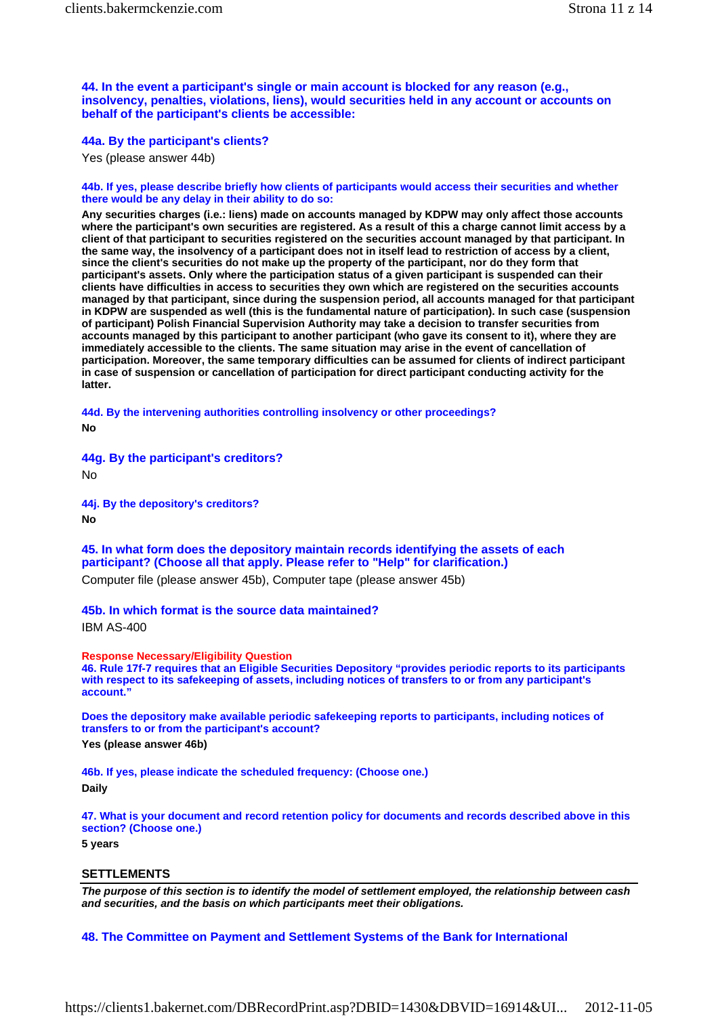**44. In the event a participant's single or main account is blocked for any reason (e.g., insolvency, penalties, violations, liens), would securities held in any account or accounts on behalf of the participant's clients be accessible:** 

**44a. By the participant's clients?**

Yes (please answer 44b)

#### **44b. If yes, please describe briefly how clients of participants would access their securities and whether there would be any delay in their ability to do so:**

**Any securities charges (i.e.: liens) made on accounts managed by KDPW may only affect those accounts where the participant's own securities are registered. As a result of this a charge cannot limit access by a client of that participant to securities registered on the securities account managed by that participant. In the same way, the insolvency of a participant does not in itself lead to restriction of access by a client, since the client's securities do not make up the property of the participant, nor do they form that participant's assets. Only where the participation status of a given participant is suspended can their clients have difficulties in access to securities they own which are registered on the securities accounts managed by that participant, since during the suspension period, all accounts managed for that participant in KDPW are suspended as well (this is the fundamental nature of participation). In such case (suspension of participant) Polish Financial Supervision Authority may take a decision to transfer securities from accounts managed by this participant to another participant (who gave its consent to it), where they are immediately accessible to the clients. The same situation may arise in the event of cancellation of participation. Moreover, the same temporary difficulties can be assumed for clients of indirect participant in case of suspension or cancellation of participation for direct participant conducting activity for the latter.** 

**44d. By the intervening authorities controlling insolvency or other proceedings? No** 

**44g. By the participant's creditors?**

No

**44j. By the depository's creditors? No** 

**45. In what form does the depository maintain records identifying the assets of each participant? (Choose all that apply. Please refer to "Help" for clarification.)**

Computer file (please answer 45b), Computer tape (please answer 45b)

**45b. In which format is the source data maintained?**

IBM AS-400

**Response Necessary/Eligibility Question** 

**46. Rule 17f-7 requires that an Eligible Securities Depository "provides periodic reports to its participants with respect to its safekeeping of assets, including notices of transfers to or from any participant's account."** 

**Does the depository make available periodic safekeeping reports to participants, including notices of transfers to or from the participant's account? Yes (please answer 46b)** 

**46b. If yes, please indicate the scheduled frequency: (Choose one.) Daily** 

**47. What is your document and record retention policy for documents and records described above in this section? (Choose one.)**

**5 years** 

#### **SETTLEMENTS**

*The purpose of this section is to identify the model of settlement employed, the relationship between cash and securities, and the basis on which participants meet their obligations.*

### **48. The Committee on Payment and Settlement Systems of the Bank for International**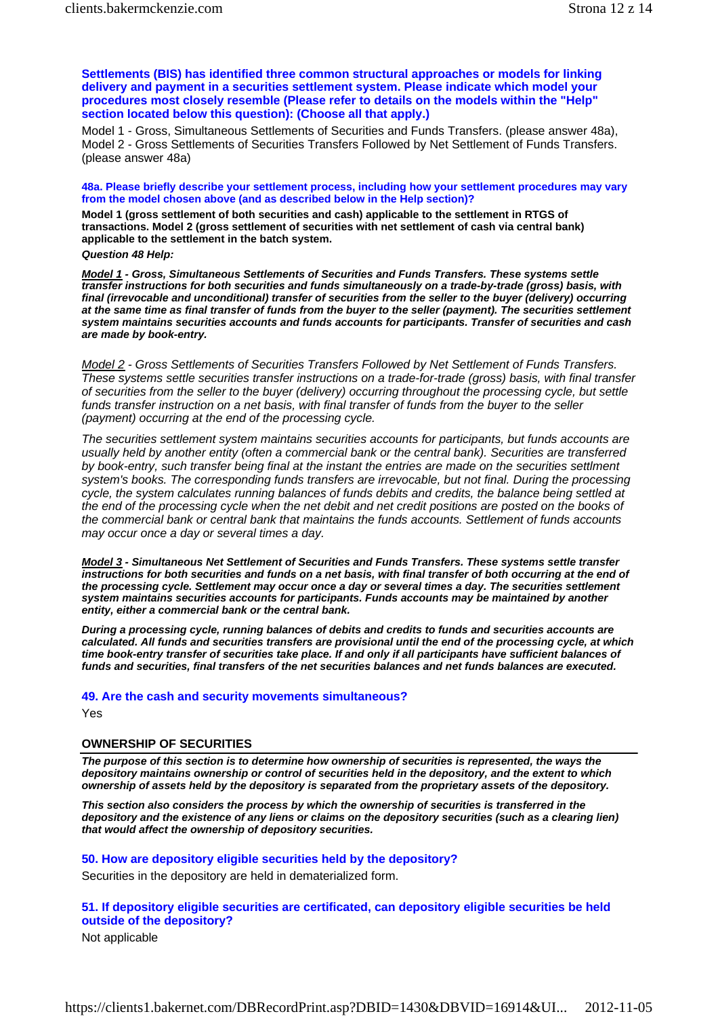**Settlements (BIS) has identified three common structural approaches or models for linking delivery and payment in a securities settlement system. Please indicate which model your procedures most closely resemble (Please refer to details on the models within the "Help" section located below this question): (Choose all that apply.)**

Model 1 - Gross, Simultaneous Settlements of Securities and Funds Transfers. (please answer 48a), Model 2 - Gross Settlements of Securities Transfers Followed by Net Settlement of Funds Transfers. (please answer 48a)

**48a. Please briefly describe your settlement process, including how your settlement procedures may vary from the model chosen above (and as described below in the Help section)?**

**Model 1 (gross settlement of both securities and cash) applicable to the settlement in RTGS of transactions. Model 2 (gross settlement of securities with net settlement of cash via central bank) applicable to the settlement in the batch system.** 

*Question 48 Help:*

*Model 1 - Gross, Simultaneous Settlements of Securities and Funds Transfers. These systems settle transfer instructions for both securities and funds simultaneously on a trade-by-trade (gross) basis, with final (irrevocable and unconditional) transfer of securities from the seller to the buyer (delivery) occurring at the same time as final transfer of funds from the buyer to the seller (payment). The securities settlement system maintains securities accounts and funds accounts for participants. Transfer of securities and cash are made by book-entry.*

*Model 2 - Gross Settlements of Securities Transfers Followed by Net Settlement of Funds Transfers. These systems settle securities transfer instructions on a trade-for-trade (gross) basis, with final transfer of securities from the seller to the buyer (delivery) occurring throughout the processing cycle, but settle funds transfer instruction on a net basis, with final transfer of funds from the buyer to the seller (payment) occurring at the end of the processing cycle.*

*The securities settlement system maintains securities accounts for participants, but funds accounts are usually held by another entity (often a commercial bank or the central bank). Securities are transferred by book-entry, such transfer being final at the instant the entries are made on the securities settlment system's books. The corresponding funds transfers are irrevocable, but not final. During the processing cycle, the system calculates running balances of funds debits and credits, the balance being settled at the end of the processing cycle when the net debit and net credit positions are posted on the books of the commercial bank or central bank that maintains the funds accounts. Settlement of funds accounts may occur once a day or several times a day.*

*Model 3 - Simultaneous Net Settlement of Securities and Funds Transfers. These systems settle transfer*  instructions for both securities and funds on a net basis, with final transfer of both occurring at the end of *the processing cycle. Settlement may occur once a day or several times a day. The securities settlement system maintains securities accounts for participants. Funds accounts may be maintained by another entity, either a commercial bank or the central bank.*

*During a processing cycle, running balances of debits and credits to funds and securities accounts are calculated. All funds and securities transfers are provisional until the end of the processing cycle, at which time book-entry transfer of securities take place. If and only if all participants have sufficient balances of funds and securities, final transfers of the net securities balances and net funds balances are executed.*

### **49. Are the cash and security movements simultaneous?**

Yes

### **OWNERSHIP OF SECURITIES**

*The purpose of this section is to determine how ownership of securities is represented, the ways the depository maintains ownership or control of securities held in the depository, and the extent to which ownership of assets held by the depository is separated from the proprietary assets of the depository.*

*This section also considers the process by which the ownership of securities is transferred in the depository and the existence of any liens or claims on the depository securities (such as a clearing lien) that would affect the ownership of depository securities.*

### **50. How are depository eligible securities held by the depository?**

Securities in the depository are held in dematerialized form.

# **51. If depository eligible securities are certificated, can depository eligible securities be held outside of the depository?**

Not applicable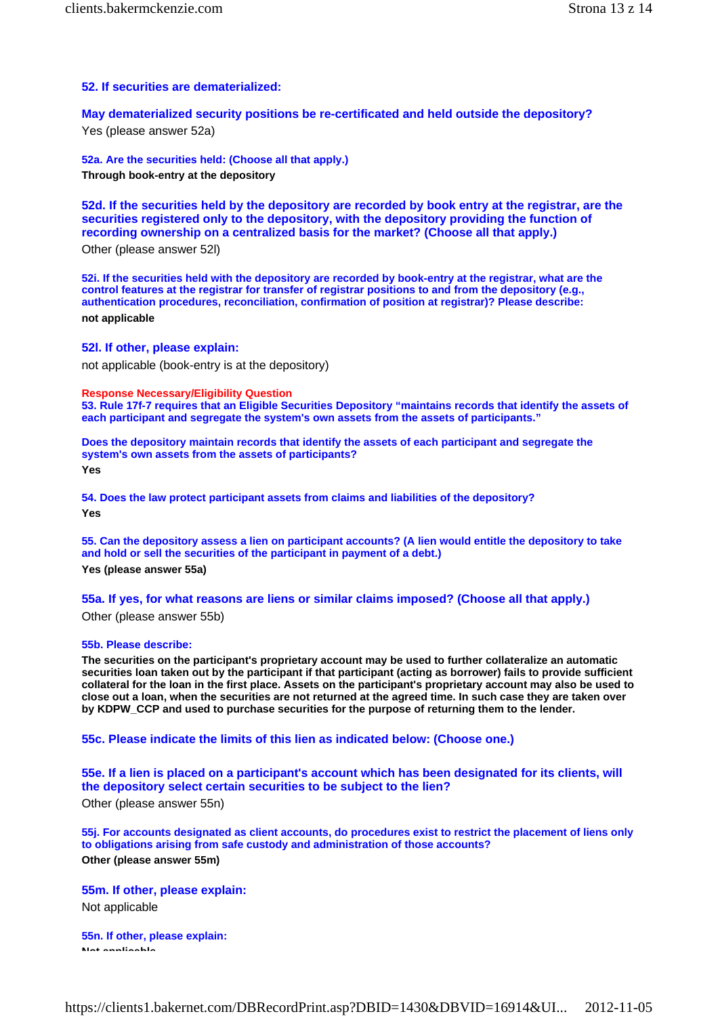# **52. If securities are dematerialized:**

**May dematerialized security positions be re-certificated and held outside the depository?** Yes (please answer 52a)

**52a. Are the securities held: (Choose all that apply.) Through book-entry at the depository** 

**52d. If the securities held by the depository are recorded by book entry at the registrar, are the securities registered only to the depository, with the depository providing the function of recording ownership on a centralized basis for the market? (Choose all that apply.)**

Other (please answer 52l)

**52i. If the securities held with the depository are recorded by book-entry at the registrar, what are the control features at the registrar for transfer of registrar positions to and from the depository (e.g., authentication procedures, reconciliation, confirmation of position at registrar)? Please describe: not applicable** 

**52l. If other, please explain:**

not applicable (book-entry is at the depository)

**Response Necessary/Eligibility Question** 

**53. Rule 17f-7 requires that an Eligible Securities Depository "maintains records that identify the assets of each participant and segregate the system's own assets from the assets of participants."** 

**Does the depository maintain records that identify the assets of each participant and segregate the system's own assets from the assets of participants?**

**Yes** 

**54. Does the law protect participant assets from claims and liabilities of the depository? Yes** 

**55. Can the depository assess a lien on participant accounts? (A lien would entitle the depository to take and hold or sell the securities of the participant in payment of a debt.) Yes (please answer 55a)** 

**55a. If yes, for what reasons are liens or similar claims imposed? (Choose all that apply.)** Other (please answer 55b)

**55b. Please describe:**

**The securities on the participant's proprietary account may be used to further collateralize an automatic securities loan taken out by the participant if that participant (acting as borrower) fails to provide sufficient collateral for the loan in the first place. Assets on the participant's proprietary account may also be used to close out a loan, when the securities are not returned at the agreed time. In such case they are taken over by KDPW\_CCP and used to purchase securities for the purpose of returning them to the lender.** 

**55c. Please indicate the limits of this lien as indicated below: (Choose one.)**

**55e. If a lien is placed on a participant's account which has been designated for its clients, will the depository select certain securities to be subject to the lien?**

Other (please answer 55n)

**55j. For accounts designated as client accounts, do procedures exist to restrict the placement of liens only to obligations arising from safe custody and administration of those accounts? Other (please answer 55m)** 

**55m. If other, please explain:** Not applicable

**55n. If other, please explain: Not applicable**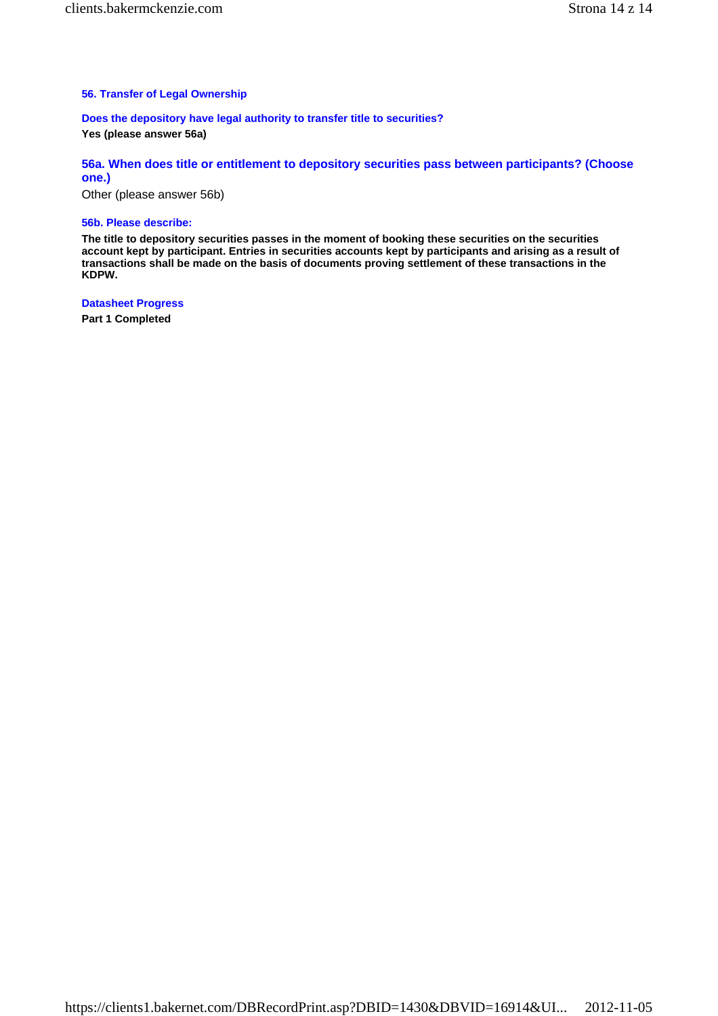# **56. Transfer of Legal Ownership**

**Does the depository have legal authority to transfer title to securities? Yes (please answer 56a)** 

**56a. When does title or entitlement to depository securities pass between participants? (Choose one.)**

Other (please answer 56b)

#### **56b. Please describe:**

**The title to depository securities passes in the moment of booking these securities on the securities account kept by participant. Entries in securities accounts kept by participants and arising as a result of transactions shall be made on the basis of documents proving settlement of these transactions in the KDPW.** 

**Datasheet Progress**

**Part 1 Completed**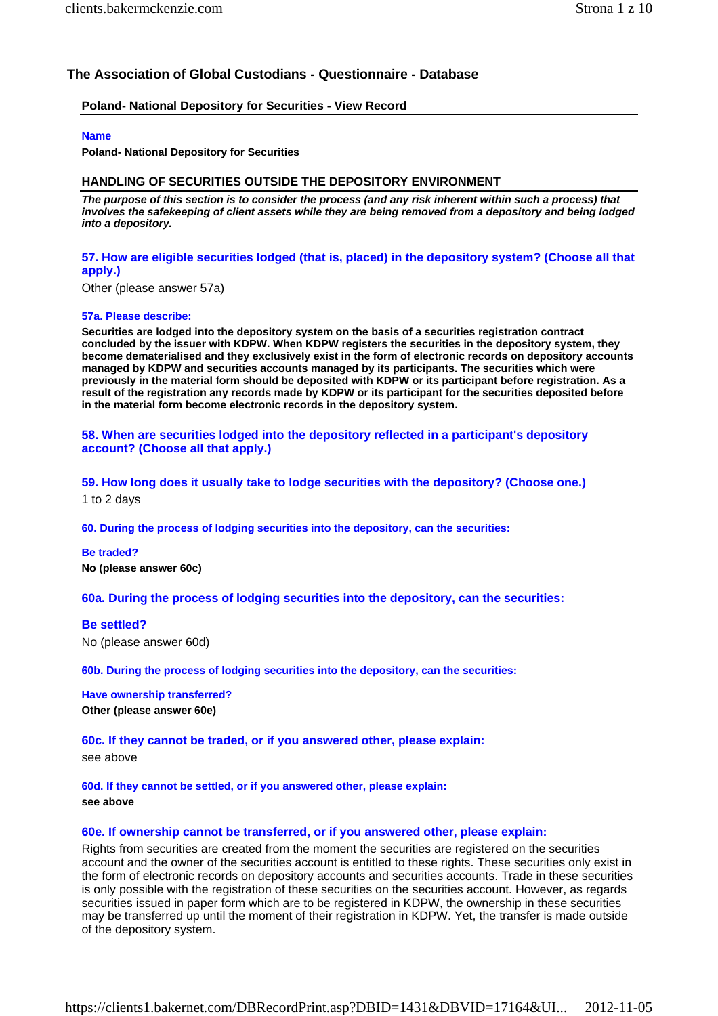# **The Association of Global Custodians - Questionnaire - Database**

# **Poland- National Depository for Securities - View Record**

# **Name**

**Poland- National Depository for Securities** 

# **HANDLING OF SECURITIES OUTSIDE THE DEPOSITORY ENVIRONMENT**

*The purpose of this section is to consider the process (and any risk inherent within such a process) that involves the safekeeping of client assets while they are being removed from a depository and being lodged into a depository.*

# **57. How are eligible securities lodged (that is, placed) in the depository system? (Choose all that apply.)**

Other (please answer 57a)

# **57a. Please describe:**

**Securities are lodged into the depository system on the basis of a securities registration contract concluded by the issuer with KDPW. When KDPW registers the securities in the depository system, they become dematerialised and they exclusively exist in the form of electronic records on depository accounts managed by KDPW and securities accounts managed by its participants. The securities which were previously in the material form should be deposited with KDPW or its participant before registration. As a result of the registration any records made by KDPW or its participant for the securities deposited before in the material form become electronic records in the depository system.** 

# **58. When are securities lodged into the depository reflected in a participant's depository account? (Choose all that apply.)**

**59. How long does it usually take to lodge securities with the depository? (Choose one.)** 1 to 2 days

**60. During the process of lodging securities into the depository, can the securities:** 

**Be traded? No (please answer 60c)** 

**60a. During the process of lodging securities into the depository, can the securities:** 

# **Be settled?** No (please answer 60d)

**60b. During the process of lodging securities into the depository, can the securities:** 

**Have ownership transferred? Other (please answer 60e)** 

# **60c. If they cannot be traded, or if you answered other, please explain:**

see above

**60d. If they cannot be settled, or if you answered other, please explain: see above** 

# **60e. If ownership cannot be transferred, or if you answered other, please explain:**

Rights from securities are created from the moment the securities are registered on the securities account and the owner of the securities account is entitled to these rights. These securities only exist in the form of electronic records on depository accounts and securities accounts. Trade in these securities is only possible with the registration of these securities on the securities account. However, as regards securities issued in paper form which are to be registered in KDPW, the ownership in these securities may be transferred up until the moment of their registration in KDPW. Yet, the transfer is made outside of the depository system.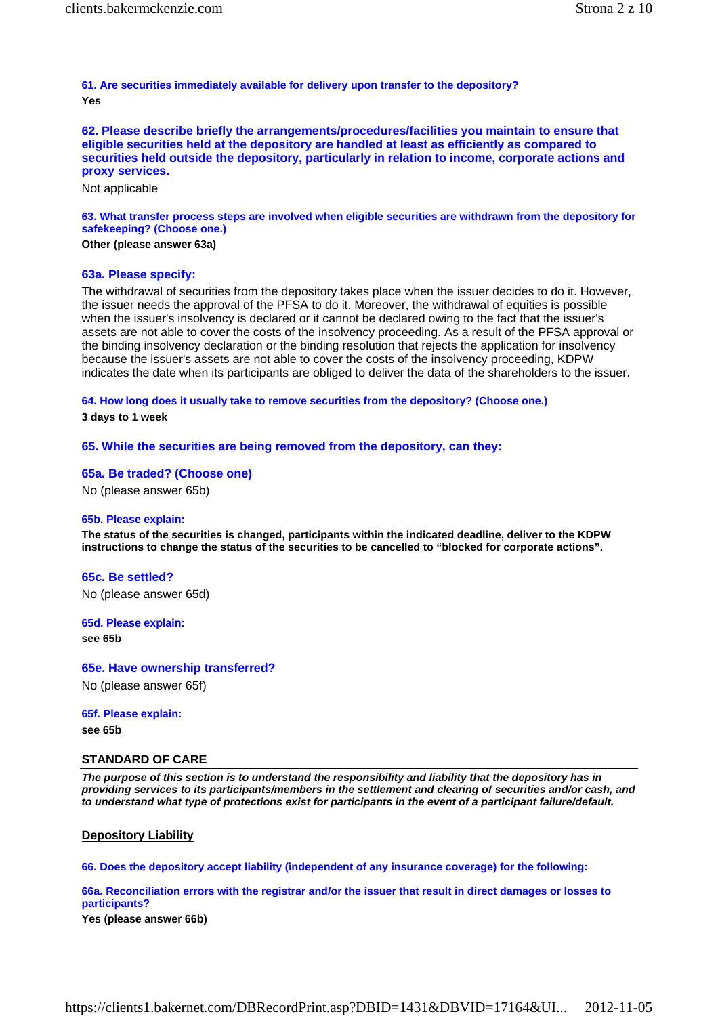**61. Are securities immediately available for delivery upon transfer to the depository? Yes** 

**62. Please describe briefly the arrangements/procedures/facilities you maintain to ensure that eligible securities held at the depository are handled at least as efficiently as compared to securities held outside the depository, particularly in relation to income, corporate actions and proxy services.**

Not applicable

**63. What transfer process steps are involved when eligible securities are withdrawn from the depository for safekeeping? (Choose one.)**

# **Other (please answer 63a)**

#### **63a. Please specify:**

The withdrawal of securities from the depository takes place when the issuer decides to do it. However, the issuer needs the approval of the PFSA to do it. Moreover, the withdrawal of equities is possible when the issuer's insolvency is declared or it cannot be declared owing to the fact that the issuer's assets are not able to cover the costs of the insolvency proceeding. As a result of the PFSA approval or the binding insolvency declaration or the binding resolution that rejects the application for insolvency because the issuer's assets are not able to cover the costs of the insolvency proceeding, KDPW indicates the date when its participants are obliged to deliver the data of the shareholders to the issuer.

**64. How long does it usually take to remove securities from the depository? (Choose one.)**

**3 days to 1 week** 

#### **65. While the securities are being removed from the depository, can they:**

#### **65a. Be traded? (Choose one)**

No (please answer 65b)

#### **65b. Please explain:**

**The status of the securities is changed, participants within the indicated deadline, deliver to the KDPW instructions to change the status of the securities to be cancelled to "blocked for corporate actions".** 

#### **65c. Be settled?**

No (please answer 65d)

**65d. Please explain:**

**see 65b** 

**65e. Have ownership transferred?**

No (please answer 65f)

#### **65f. Please explain:**

**see 65b** 

#### **STANDARD OF CARE**

*The purpose of this section is to understand the responsibility and liability that the depository has in providing services to its participants/members in the settlement and clearing of securities and/or cash, and to understand what type of protections exist for participants in the event of a participant failure/default.*

### **Depository Liability**

**66. Does the depository accept liability (independent of any insurance coverage) for the following:** 

**66a. Reconciliation errors with the registrar and/or the issuer that result in direct damages or losses to participants?**

**Yes (please answer 66b)**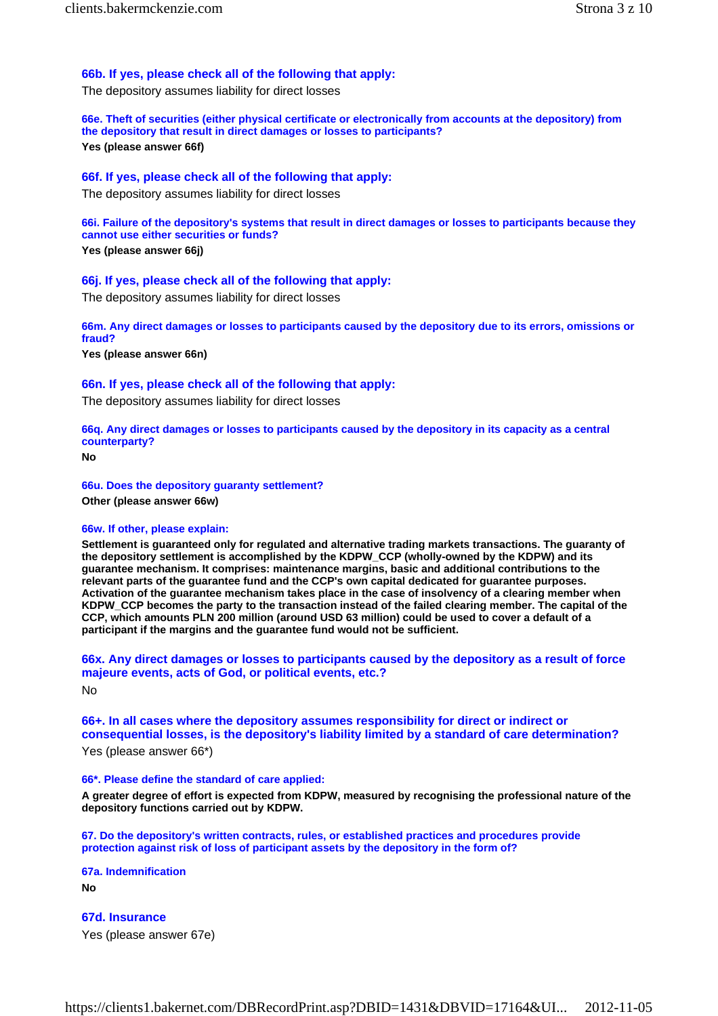# **66b. If yes, please check all of the following that apply:**

The depository assumes liability for direct losses

**66e. Theft of securities (either physical certificate or electronically from accounts at the depository) from the depository that result in direct damages or losses to participants? Yes (please answer 66f)** 

# **66f. If yes, please check all of the following that apply:**

The depository assumes liability for direct losses

**66i. Failure of the depository's systems that result in direct damages or losses to participants because they cannot use either securities or funds?**

**Yes (please answer 66j)** 

# **66j. If yes, please check all of the following that apply:**

The depository assumes liability for direct losses

**66m. Any direct damages or losses to participants caused by the depository due to its errors, omissions or fraud?**

**Yes (please answer 66n)** 

# **66n. If yes, please check all of the following that apply:**

The depository assumes liability for direct losses

**66q. Any direct damages or losses to participants caused by the depository in its capacity as a central counterparty?**

**No** 

**66u. Does the depository guaranty settlement? Other (please answer 66w)** 

# **66w. If other, please explain:**

**Settlement is guaranteed only for regulated and alternative trading markets transactions. The guaranty of the depository settlement is accomplished by the KDPW\_CCP (wholly-owned by the KDPW) and its guarantee mechanism. It comprises: maintenance margins, basic and additional contributions to the relevant parts of the guarantee fund and the CCP's own capital dedicated for guarantee purposes. Activation of the guarantee mechanism takes place in the case of insolvency of a clearing member when KDPW\_CCP becomes the party to the transaction instead of the failed clearing member. The capital of the CCP, which amounts PLN 200 million (around USD 63 million) could be used to cover a default of a participant if the margins and the guarantee fund would not be sufficient.** 

**66x. Any direct damages or losses to participants caused by the depository as a result of force majeure events, acts of God, or political events, etc.?** No

**66+. In all cases where the depository assumes responsibility for direct or indirect or consequential losses, is the depository's liability limited by a standard of care determination?**

Yes (please answer 66\*)

# **66\*. Please define the standard of care applied:**

**A greater degree of effort is expected from KDPW, measured by recognising the professional nature of the depository functions carried out by KDPW.** 

**67. Do the depository's written contracts, rules, or established practices and procedures provide protection against risk of loss of participant assets by the depository in the form of?** 

**67a. Indemnification No** 

**67d. Insurance** Yes (please answer 67e)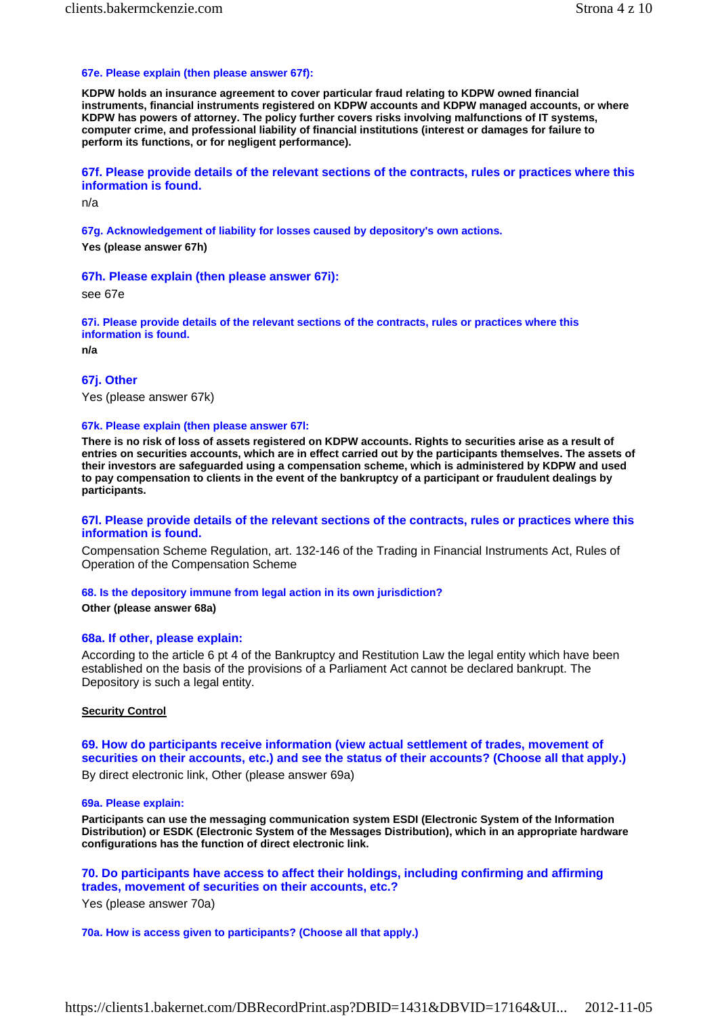### **67e. Please explain (then please answer 67f):**

**KDPW holds an insurance agreement to cover particular fraud relating to KDPW owned financial instruments, financial instruments registered on KDPW accounts and KDPW managed accounts, or where KDPW has powers of attorney. The policy further covers risks involving malfunctions of IT systems, computer crime, and professional liability of financial institutions (interest or damages for failure to perform its functions, or for negligent performance).** 

## **67f. Please provide details of the relevant sections of the contracts, rules or practices where this information is found.**

n/a

**67g. Acknowledgement of liability for losses caused by depository's own actions. Yes (please answer 67h)** 

#### **67h. Please explain (then please answer 67i):**

see 67e

**67i. Please provide details of the relevant sections of the contracts, rules or practices where this information is found.**

**n/a** 

## **67j. Other**

Yes (please answer 67k)

#### **67k. Please explain (then please answer 67l:**

**There is no risk of loss of assets registered on KDPW accounts. Rights to securities arise as a result of entries on securities accounts, which are in effect carried out by the participants themselves. The assets of their investors are safeguarded using a compensation scheme, which is administered by KDPW and used to pay compensation to clients in the event of the bankruptcy of a participant or fraudulent dealings by participants.** 

### **67l. Please provide details of the relevant sections of the contracts, rules or practices where this information is found.**

Compensation Scheme Regulation, art. 132-146 of the Trading in Financial Instruments Act, Rules of Operation of the Compensation Scheme

#### **68. Is the depository immune from legal action in its own jurisdiction?**

#### **Other (please answer 68a)**

### **68a. If other, please explain:**

According to the article 6 pt 4 of the Bankruptcy and Restitution Law the legal entity which have been established on the basis of the provisions of a Parliament Act cannot be declared bankrupt. The Depository is such a legal entity.

#### **Security Control**

# **69. How do participants receive information (view actual settlement of trades, movement of securities on their accounts, etc.) and see the status of their accounts? (Choose all that apply.)**

By direct electronic link, Other (please answer 69a)

#### **69a. Please explain:**

**Participants can use the messaging communication system ESDI (Electronic System of the Information Distribution) or ESDK (Electronic System of the Messages Distribution), which in an appropriate hardware configurations has the function of direct electronic link.** 

**70. Do participants have access to affect their holdings, including confirming and affirming trades, movement of securities on their accounts, etc.?**

Yes (please answer 70a)

**70a. How is access given to participants? (Choose all that apply.)**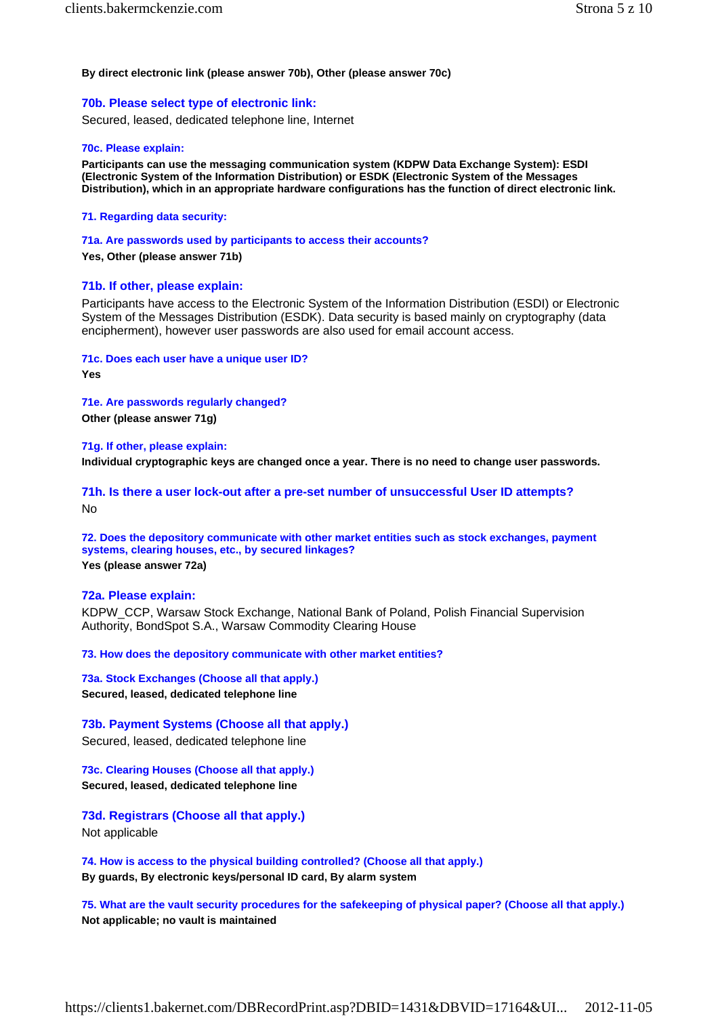# **By direct electronic link (please answer 70b), Other (please answer 70c)**

**70b. Please select type of electronic link:**

Secured, leased, dedicated telephone line, Internet

# **70c. Please explain:**

**Participants can use the messaging communication system (KDPW Data Exchange System): ESDI (Electronic System of the Information Distribution) or ESDK (Electronic System of the Messages Distribution), which in an appropriate hardware configurations has the function of direct electronic link.** 

**71. Regarding data security:** 

**71a. Are passwords used by participants to access their accounts?**

**Yes, Other (please answer 71b)** 

# **71b. If other, please explain:**

Participants have access to the Electronic System of the Information Distribution (ESDI) or Electronic System of the Messages Distribution (ESDK). Data security is based mainly on cryptography (data encipherment), however user passwords are also used for email account access.

**71c. Does each user have a unique user ID?**

**Yes** 

**71e. Are passwords regularly changed? Other (please answer 71g)** 

**71g. If other, please explain: Individual cryptographic keys are changed once a year. There is no need to change user passwords.** 

**71h. Is there a user lock-out after a pre-set number of unsuccessful User ID attempts?** No

**72. Does the depository communicate with other market entities such as stock exchanges, payment systems, clearing houses, etc., by secured linkages? Yes (please answer 72a)** 

# **72a. Please explain:**

KDPW\_CCP, Warsaw Stock Exchange, National Bank of Poland, Polish Financial Supervision Authority, BondSpot S.A., Warsaw Commodity Clearing House

**73. How does the depository communicate with other market entities?** 

**73a. Stock Exchanges (Choose all that apply.) Secured, leased, dedicated telephone line** 

**73b. Payment Systems (Choose all that apply.)** Secured, leased, dedicated telephone line

**73c. Clearing Houses (Choose all that apply.) Secured, leased, dedicated telephone line** 

**73d. Registrars (Choose all that apply.)** Not applicable

**74. How is access to the physical building controlled? (Choose all that apply.) By guards, By electronic keys/personal ID card, By alarm system** 

**75. What are the vault security procedures for the safekeeping of physical paper? (Choose all that apply.) Not applicable; no vault is maintained**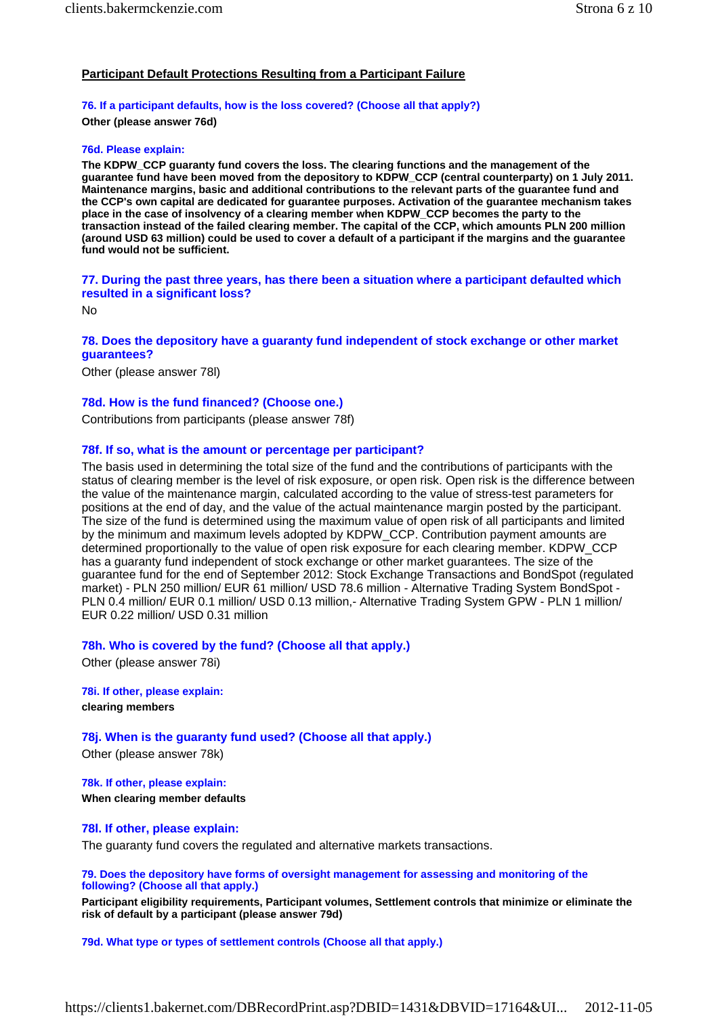# **Participant Default Protections Resulting from a Participant Failure**

# **76. If a participant defaults, how is the loss covered? (Choose all that apply?) Other (please answer 76d)**

#### **76d. Please explain:**

**The KDPW\_CCP guaranty fund covers the loss. The clearing functions and the management of the guarantee fund have been moved from the depository to KDPW\_CCP (central counterparty) on 1 July 2011. Maintenance margins, basic and additional contributions to the relevant parts of the guarantee fund and the CCP's own capital are dedicated for guarantee purposes. Activation of the guarantee mechanism takes place in the case of insolvency of a clearing member when KDPW\_CCP becomes the party to the transaction instead of the failed clearing member. The capital of the CCP, which amounts PLN 200 million (around USD 63 million) could be used to cover a default of a participant if the margins and the guarantee fund would not be sufficient.** 

**77. During the past three years, has there been a situation where a participant defaulted which resulted in a significant loss?**

No

## **78. Does the depository have a guaranty fund independent of stock exchange or other market guarantees?**

Other (please answer 78l)

# **78d. How is the fund financed? (Choose one.)**

Contributions from participants (please answer 78f)

## **78f. If so, what is the amount or percentage per participant?**

The basis used in determining the total size of the fund and the contributions of participants with the status of clearing member is the level of risk exposure, or open risk. Open risk is the difference between the value of the maintenance margin, calculated according to the value of stress-test parameters for positions at the end of day, and the value of the actual maintenance margin posted by the participant. The size of the fund is determined using the maximum value of open risk of all participants and limited by the minimum and maximum levels adopted by KDPW\_CCP. Contribution payment amounts are determined proportionally to the value of open risk exposure for each clearing member. KDPW\_CCP has a guaranty fund independent of stock exchange or other market guarantees. The size of the guarantee fund for the end of September 2012: Stock Exchange Transactions and BondSpot (regulated market) - PLN 250 million/ EUR 61 million/ USD 78.6 million - Alternative Trading System BondSpot - PLN 0.4 million/ EUR 0.1 million/ USD 0.13 million,- Alternative Trading System GPW - PLN 1 million/ EUR 0.22 million/ USD 0.31 million

**78h. Who is covered by the fund? (Choose all that apply.)**

Other (please answer 78i)

**78i. If other, please explain: clearing members** 

**78j. When is the guaranty fund used? (Choose all that apply.)** Other (please answer 78k)

**78k. If other, please explain: When clearing member defaults** 

**78l. If other, please explain:** The guaranty fund covers the regulated and alternative markets transactions.

# **79. Does the depository have forms of oversight management for assessing and monitoring of the following? (Choose all that apply.)**

**Participant eligibility requirements, Participant volumes, Settlement controls that minimize or eliminate the risk of default by a participant (please answer 79d)** 

**79d. What type or types of settlement controls (Choose all that apply.)**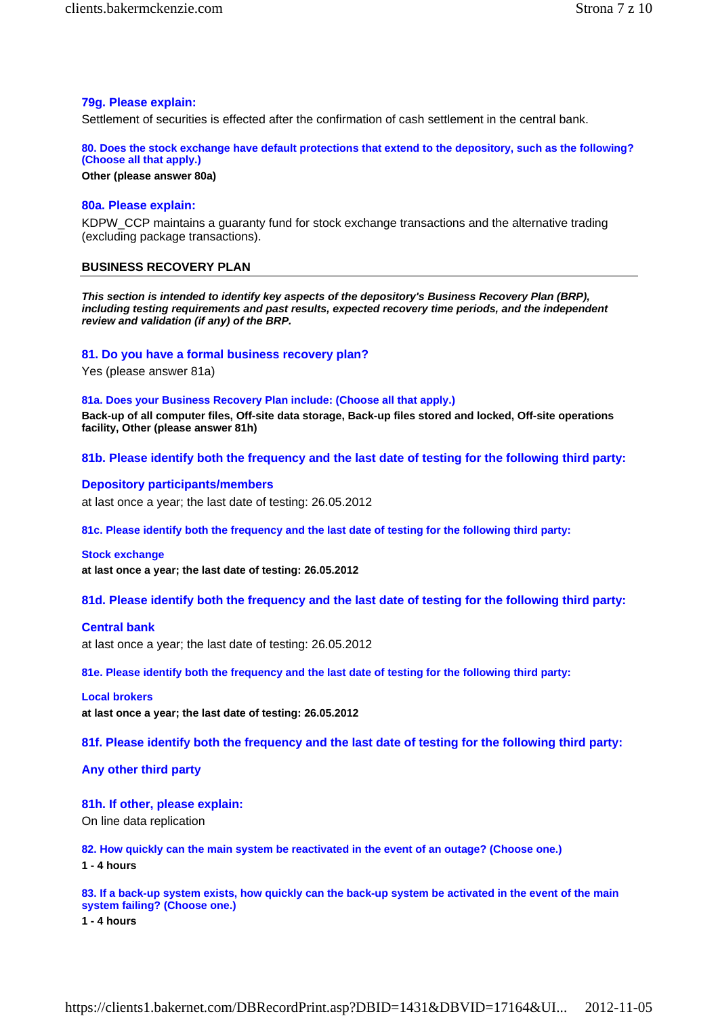# **79g. Please explain:**

Settlement of securities is effected after the confirmation of cash settlement in the central bank.

**80. Does the stock exchange have default protections that extend to the depository, such as the following? (Choose all that apply.)**

**Other (please answer 80a)** 

### **80a. Please explain:**

KDPW\_CCP maintains a guaranty fund for stock exchange transactions and the alternative trading (excluding package transactions).

## **BUSINESS RECOVERY PLAN**

*This section is intended to identify key aspects of the depository's Business Recovery Plan (BRP), including testing requirements and past results, expected recovery time periods, and the independent review and validation (if any) of the BRP.*

### **81. Do you have a formal business recovery plan?**

Yes (please answer 81a)

#### **81a. Does your Business Recovery Plan include: (Choose all that apply.)**

**Back-up of all computer files, Off-site data storage, Back-up files stored and locked, Off-site operations facility, Other (please answer 81h)** 

**81b. Please identify both the frequency and the last date of testing for the following third party:** 

### **Depository participants/members**

at last once a year; the last date of testing: 26.05.2012

**81c. Please identify both the frequency and the last date of testing for the following third party:** 

#### **Stock exchange**

**at last once a year; the last date of testing: 26.05.2012** 

**81d. Please identify both the frequency and the last date of testing for the following third party:** 

### **Central bank**

at last once a year; the last date of testing: 26.05.2012

**81e. Please identify both the frequency and the last date of testing for the following third party:** 

### **Local brokers**

**at last once a year; the last date of testing: 26.05.2012** 

**81f. Please identify both the frequency and the last date of testing for the following third party:** 

## **Any other third party**

### **81h. If other, please explain:**

On line data replication

**82. How quickly can the main system be reactivated in the event of an outage? (Choose one.)**

**1 - 4 hours** 

**83. If a back-up system exists, how quickly can the back-up system be activated in the event of the main system failing? (Choose one.)**

**1 - 4 hours**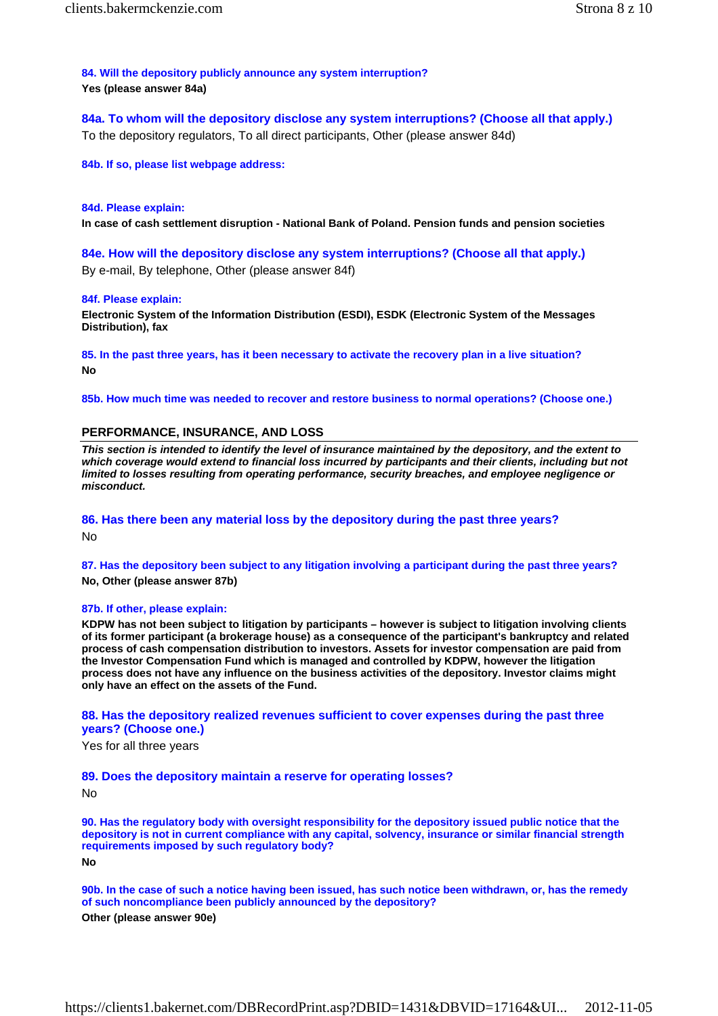**84. Will the depository publicly announce any system interruption? Yes (please answer 84a)** 

**84a. To whom will the depository disclose any system interruptions? (Choose all that apply.)** To the depository regulators, To all direct participants, Other (please answer 84d)

**84b. If so, please list webpage address:**

#### **84d. Please explain:**

**In case of cash settlement disruption - National Bank of Poland. Pension funds and pension societies** 

**84e. How will the depository disclose any system interruptions? (Choose all that apply.)** By e-mail, By telephone, Other (please answer 84f)

#### **84f. Please explain:**

**Electronic System of the Information Distribution (ESDI), ESDK (Electronic System of the Messages Distribution), fax** 

**85. In the past three years, has it been necessary to activate the recovery plan in a live situation? No** 

**85b. How much time was needed to recover and restore business to normal operations? (Choose one.)**

### **PERFORMANCE, INSURANCE, AND LOSS**

*This section is intended to identify the level of insurance maintained by the depository, and the extent to which coverage would extend to financial loss incurred by participants and their clients, including but not limited to losses resulting from operating performance, security breaches, and employee negligence or misconduct.*

# **86. Has there been any material loss by the depository during the past three years?** No

**87. Has the depository been subject to any litigation involving a participant during the past three years? No, Other (please answer 87b)** 

#### **87b. If other, please explain:**

**KDPW has not been subject to litigation by participants – however is subject to litigation involving clients of its former participant (a brokerage house) as a consequence of the participant's bankruptcy and related process of cash compensation distribution to investors. Assets for investor compensation are paid from the Investor Compensation Fund which is managed and controlled by KDPW, however the litigation process does not have any influence on the business activities of the depository. Investor claims might only have an effect on the assets of the Fund.** 

# **88. Has the depository realized revenues sufficient to cover expenses during the past three years? (Choose one.)**

Yes for all three years

### **89. Does the depository maintain a reserve for operating losses?**

No

**90. Has the regulatory body with oversight responsibility for the depository issued public notice that the depository is not in current compliance with any capital, solvency, insurance or similar financial strength requirements imposed by such regulatory body? No** 

**90b. In the case of such a notice having been issued, has such notice been withdrawn, or, has the remedy of such noncompliance been publicly announced by the depository?**

**Other (please answer 90e)**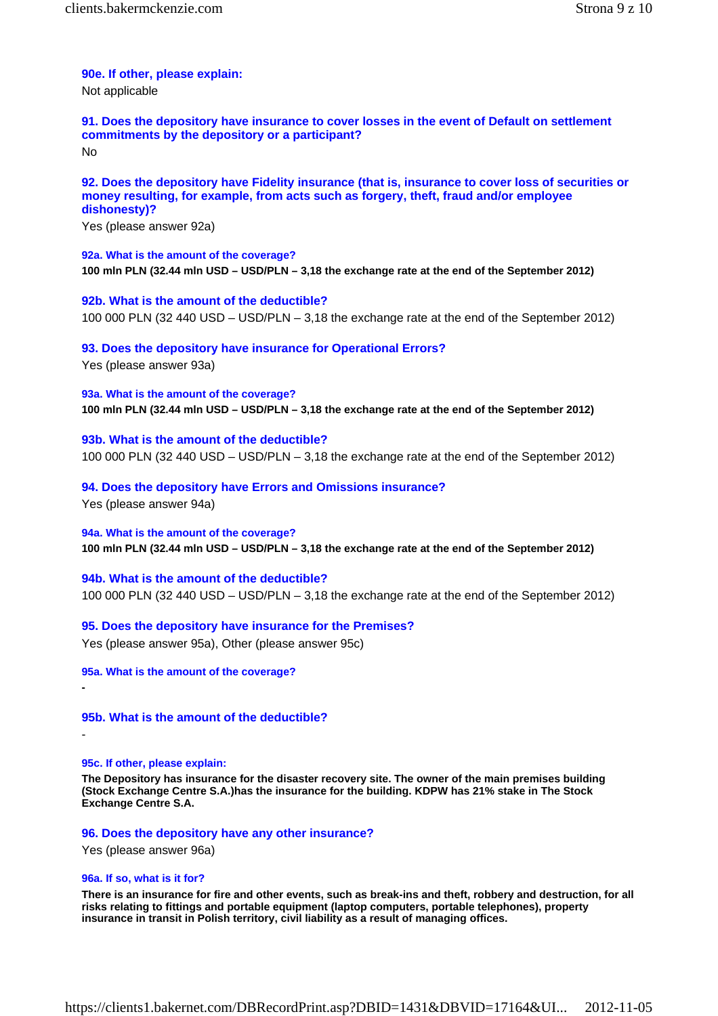# **90e. If other, please explain:**

Not applicable

**91. Does the depository have insurance to cover losses in the event of Default on settlement commitments by the depository or a participant?** No

# **92. Does the depository have Fidelity insurance (that is, insurance to cover loss of securities or money resulting, for example, from acts such as forgery, theft, fraud and/or employee dishonesty)?**

Yes (please answer 92a)

# **92a. What is the amount of the coverage? 100 mln PLN (32.44 mln USD – USD/PLN – 3,18 the exchange rate at the end of the September 2012)**

**92b. What is the amount of the deductible?** 100 000 PLN (32 440 USD – USD/PLN – 3,18 the exchange rate at the end of the September 2012)

# **93. Does the depository have insurance for Operational Errors?**

Yes (please answer 93a)

**93a. What is the amount of the coverage? 100 mln PLN (32.44 mln USD – USD/PLN – 3,18 the exchange rate at the end of the September 2012)** 

**93b. What is the amount of the deductible?** 100 000 PLN (32 440 USD – USD/PLN – 3,18 the exchange rate at the end of the September 2012)

**94. Does the depository have Errors and Omissions insurance?**

Yes (please answer 94a)

**94a. What is the amount of the coverage? 100 mln PLN (32.44 mln USD – USD/PLN – 3,18 the exchange rate at the end of the September 2012)** 

**94b. What is the amount of the deductible?** 100 000 PLN (32 440 USD – USD/PLN – 3,18 the exchange rate at the end of the September 2012)

**95. Does the depository have insurance for the Premises?** Yes (please answer 95a), Other (please answer 95c)

**95a. What is the amount of the coverage?**

**95b. What is the amount of the deductible?**

# **95c. If other, please explain:**

**-** 

-

**The Depository has insurance for the disaster recovery site. The owner of the main premises building (Stock Exchange Centre S.A.)has the insurance for the building. KDPW has 21% stake in The Stock Exchange Centre S.A.** 

**96. Does the depository have any other insurance?**

Yes (please answer 96a)

# **96a. If so, what is it for?**

**There is an insurance for fire and other events, such as break-ins and theft, robbery and destruction, for all risks relating to fittings and portable equipment (laptop computers, portable telephones), property insurance in transit in Polish territory, civil liability as a result of managing offices.**